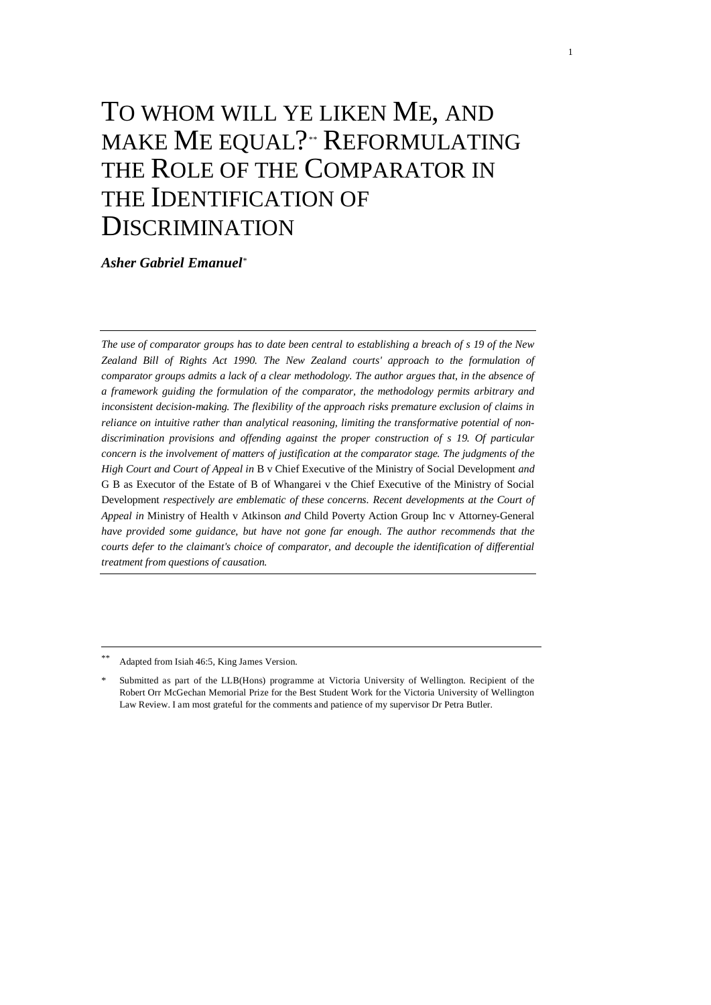# TO WHOM WILL YE LIKEN ME, AND MAKE ME EQUAL?[\\*\\*](#page-0-0) REFORMULATING THE ROLE OF THE COMPARATOR IN THE IDENTIFICATION OF DISCRIMINATION

*Asher Gabriel Emanuel*[\\*](#page-0-1)

*The use of comparator groups has to date been central to establishing a breach of s 19 of the New Zealand Bill of Rights Act 1990. The New Zealand courts' approach to the formulation of comparator groups admits a lack of a clear methodology. The author argues that, in the absence of a framework guiding the formulation of the comparator, the methodology permits arbitrary and inconsistent decision-making. The flexibility of the approach risks premature exclusion of claims in reliance on intuitive rather than analytical reasoning, limiting the transformative potential of nondiscrimination provisions and offending against the proper construction of s 19. Of particular concern is the involvement of matters of justification at the comparator stage. The judgments of the High Court and Court of Appeal in* B v Chief Executive of the Ministry of Social Development *and*  G B as Executor of the Estate of B of Whangarei v the Chief Executive of the Ministry of Social Development *respectively are emblematic of these concerns. Recent developments at the Court of Appeal in* Ministry of Health v Atkinson *and* Child Poverty Action Group Inc v Attorney-General *have provided some guidance, but have not gone far enough. The author recommends that the courts defer to the claimant's choice of comparator, and decouple the identification of differential treatment from questions of causation.*

<span id="page-0-0"></span>Adapted from Isiah 46:5, King James Version.

<span id="page-0-1"></span>Submitted as part of the LLB(Hons) programme at Victoria University of Wellington. Recipient of the Robert Orr McGechan Memorial Prize for the Best Student Work for the Victoria University of Wellington Law Review. I am most grateful for the comments and patience of my supervisor Dr Petra Butler.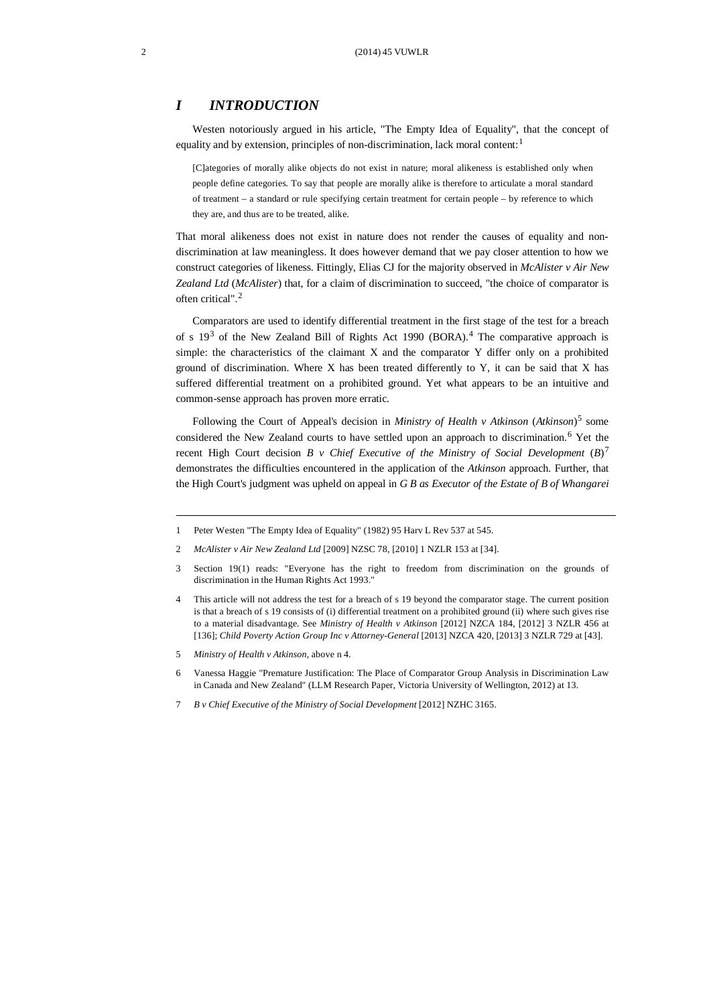## *I INTRODUCTION*

Westen notoriously argued in his article, "The Empty Idea of Equality", that the concept of equality and by extension, principles of non-discrimination, lack moral content:<sup>[1](#page-1-0)</sup>

[C]ategories of morally alike objects do not exist in nature; moral alikeness is established only when people define categories. To say that people are morally alike is therefore to articulate a moral standard of treatment – a standard or rule specifying certain treatment for certain people – by reference to which they are, and thus are to be treated, alike.

That moral alikeness does not exist in nature does not render the causes of equality and nondiscrimination at law meaningless. It does however demand that we pay closer attention to how we construct categories of likeness. Fittingly, Elias CJ for the majority observed in *McAlister v Air New Zealand Ltd* (*McAlister*) that, for a claim of discrimination to succeed, "the choice of comparator is often critical". [2](#page-1-1)

Comparators are used to identify differential treatment in the first stage of the test for a breach of s  $19<sup>3</sup>$  $19<sup>3</sup>$  $19<sup>3</sup>$  of the New Zealand Bill of Rights Act 1990 (BORA).<sup>[4](#page-1-3)</sup> The comparative approach is simple: the characteristics of the claimant  $X$  and the comparator  $Y$  differ only on a prohibited ground of discrimination. Where X has been treated differently to Y, it can be said that X has suffered differential treatment on a prohibited ground. Yet what appears to be an intuitive and common-sense approach has proven more erratic.

Following the Court of Appeal's decision in *Ministry of Health v Atkinson* (*Atkinson*)[5](#page-1-4) some considered the New Zealand courts to have settled upon an approach to discrimination.<sup>[6](#page-1-5)</sup> Yet the recent High Court decision *B v Chief Executive of the Ministry of Social Development*  $(B)^7$  $(B)^7$ demonstrates the difficulties encountered in the application of the *Atkinson* approach. Further, that the High Court's judgment was upheld on appeal in *G B as Executor of the Estate of B of Whangarei* 

- <span id="page-1-0"></span>1 Peter Westen "The Empty Idea of Equality" (1982) 95 Harv L Rev 537 at 545.
- <span id="page-1-1"></span>2 *McAlister v Air New Zealand Ltd* [2009] NZSC 78, [2010] 1 NZLR 153 at [34].
- <span id="page-1-2"></span>3 Section 19(1) reads: "Everyone has the right to freedom from discrimination on the grounds of discrimination in the Human Rights Act 1993."
- <span id="page-1-3"></span>4 This article will not address the test for a breach of s 19 beyond the comparator stage. The current position is that a breach of s 19 consists of (i) differential treatment on a prohibited ground (ii) where such gives rise to a material disadvantage. See *Ministry of Health v Atkinson* [2012] NZCA 184, [2012] 3 NZLR 456 at [136]; *Child Poverty Action Group Inc v Attorney-General* [2013] NZCA 420, [2013] 3 NZLR 729 at [43].
- <span id="page-1-5"></span><span id="page-1-4"></span>5 *Ministry of Health v Atkinson,* above n 4.
- 6 Vanessa Haggie "Premature Justification: The Place of Comparator Group Analysis in Discrimination Law in Canada and New Zealand" (LLM Research Paper, Victoria University of Wellington, 2012) at 13.
- <span id="page-1-6"></span>7 *B v Chief Executive of the Ministry of Social Development* [2012] NZHC 3165.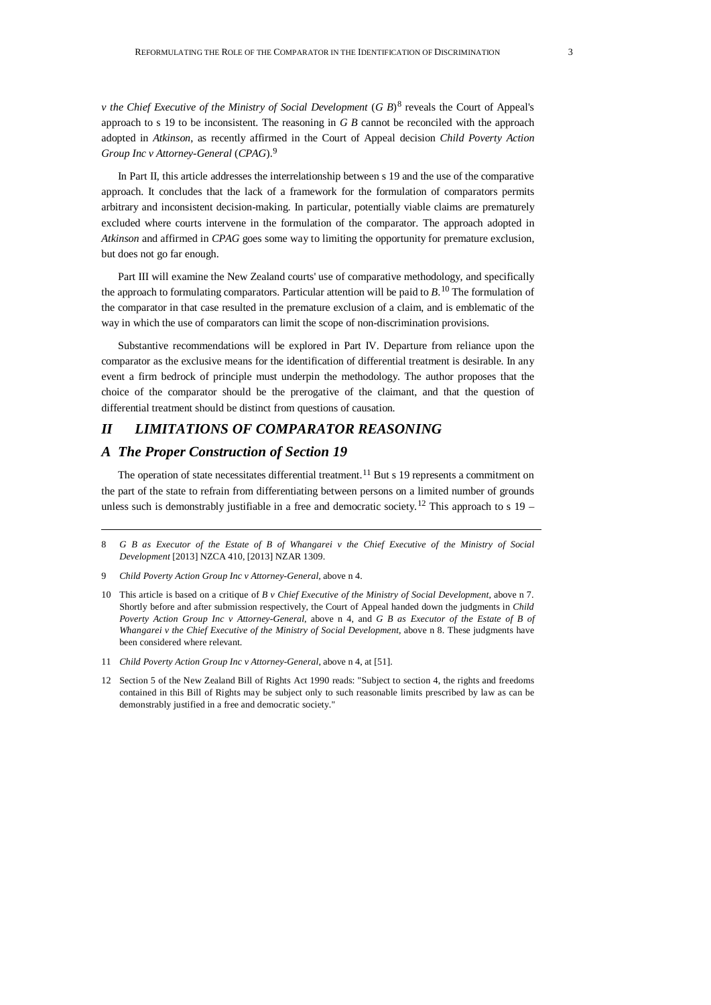*v* the Chief Executive of the Ministry of Social Development (*G B*)<sup>[8](#page-2-0)</sup> reveals the Court of Appeal's approach to s 19 to be inconsistent. The reasoning in *G B* cannot be reconciled with the approach adopted in *Atkinson*, as recently affirmed in the Court of Appeal decision *Child Poverty Action Group Inc v Attorney-General* (*CPAG*).[9](#page-2-1)

In Part II, this article addresses the interrelationship between s 19 and the use of the comparative approach. It concludes that the lack of a framework for the formulation of comparators permits arbitrary and inconsistent decision-making. In particular, potentially viable claims are prematurely excluded where courts intervene in the formulation of the comparator. The approach adopted in *Atkinson* and affirmed in *CPAG* goes some way to limiting the opportunity for premature exclusion, but does not go far enough.

Part III will examine the New Zealand courts' use of comparative methodology, and specifically the approach to formulating comparators. Particular attention will be paid to *B*. [10](#page-2-2) The formulation of the comparator in that case resulted in the premature exclusion of a claim, and is emblematic of the way in which the use of comparators can limit the scope of non-discrimination provisions.

Substantive recommendations will be explored in Part IV. Departure from reliance upon the comparator as the exclusive means for the identification of differential treatment is desirable. In any event a firm bedrock of principle must underpin the methodology. The author proposes that the choice of the comparator should be the prerogative of the claimant, and that the question of differential treatment should be distinct from questions of causation.

# *II LIMITATIONS OF COMPARATOR REASONING*

# *A The Proper Construction of Section 19*

The operation of state necessitates differential treatment.<sup>[11](#page-2-3)</sup> But s 19 represents a commitment on the part of the state to refrain from differentiating between persons on a limited number of grounds unless such is demonstrably justifiable in a free and democratic society.<sup>[12](#page-2-4)</sup> This approach to s 19 –

<span id="page-2-4"></span>12 Section 5 of the New Zealand Bill of Rights Act 1990 reads: "Subject to section 4, the rights and freedoms contained in this Bill of Rights may be subject only to such reasonable limits prescribed by law as can be demonstrably justified in a free and democratic society."

<span id="page-2-0"></span><sup>8</sup> *G B as Executor of the Estate of B of Whangarei v the Chief Executive of the Ministry of Social Development* [2013] NZCA 410, [2013] NZAR 1309.

<span id="page-2-1"></span><sup>9</sup> *Child Poverty Action Group Inc v Attorney-General,* above n 4.

<span id="page-2-2"></span><sup>10</sup> This article is based on a critique of *B v Chief Executive of the Ministry of Social Development*, above n 7. Shortly before and after submission respectively, the Court of Appeal handed down the judgments in *Child Poverty Action Group Inc v Attorney-General*, above n 4, and *G B as Executor of the Estate of B of Whangarei v the Chief Executive of the Ministry of Social Development*, above n 8. These judgments have been considered where relevant.

<span id="page-2-3"></span><sup>11</sup> *Child Poverty Action Group Inc v Attorney-General*, above n 4, at [51].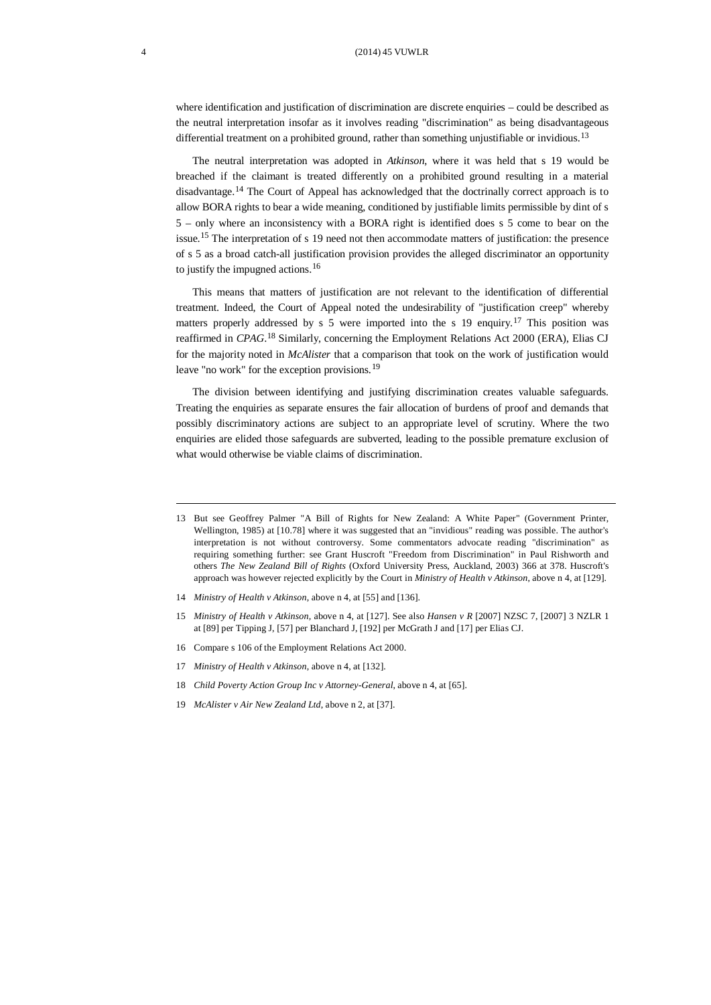where identification and justification of discrimination are discrete enquiries – could be described as the neutral interpretation insofar as it involves reading "discrimination" as being disadvantageous differential treatment on a prohibited ground, rather than something unjustifiable or invidious.<sup>[13](#page-3-0)</sup>

The neutral interpretation was adopted in *Atkinson*, where it was held that s 19 would be breached if the claimant is treated differently on a prohibited ground resulting in a material disadvantage.[14](#page-3-1) The Court of Appeal has acknowledged that the doctrinally correct approach is to allow BORA rights to bear a wide meaning, conditioned by justifiable limits permissible by dint of s 5 – only where an inconsistency with a BORA right is identified does s 5 come to bear on the issue.<sup>[15](#page-3-2)</sup> The interpretation of s 19 need not then accommodate matters of justification: the presence of s 5 as a broad catch-all justification provision provides the alleged discriminator an opportunity to justify the impugned actions.[16](#page-3-3)

This means that matters of justification are not relevant to the identification of differential treatment. Indeed, the Court of Appeal noted the undesirability of "justification creep" whereby matters properly addressed by s 5 were imported into the s 19 enquiry.<sup>[17](#page-3-4)</sup> This position was reaffirmed in *CPAG*. [18](#page-3-5) Similarly, concerning the Employment Relations Act 2000 (ERA), Elias CJ for the majority noted in *McAlister* that a comparison that took on the work of justification would leave "no work" for the exception provisions.[19](#page-3-6)

The division between identifying and justifying discrimination creates valuable safeguards. Treating the enquiries as separate ensures the fair allocation of burdens of proof and demands that possibly discriminatory actions are subject to an appropriate level of scrutiny. Where the two enquiries are elided those safeguards are subverted, leading to the possible premature exclusion of what would otherwise be viable claims of discrimination.

- <span id="page-3-1"></span>14 *Ministry of Health v Atkinson*, above n 4, at [55] and [136].
- <span id="page-3-2"></span>15 *Ministry of Health v Atkinson,* above n 4, at [127]. See also *Hansen v R* [2007] NZSC 7, [2007] 3 NZLR 1 at [89] per Tipping J, [57] per Blanchard J, [192] per McGrath J and [17] per Elias CJ.
- <span id="page-3-3"></span>16 Compare s 106 of the Employment Relations Act 2000.
- <span id="page-3-4"></span>17 *Ministry of Health v Atkinson*, above n 4, at [132].
- <span id="page-3-5"></span>18 *Child Poverty Action Group Inc v Attorney-General*, above n 4, at [65].
- <span id="page-3-6"></span>19 *McAlister v Air New Zealand Ltd*, above n 2, at [37].

<span id="page-3-0"></span><sup>13</sup> But see Geoffrey Palmer "A Bill of Rights for New Zealand: A White Paper" (Government Printer, Wellington, 1985) at [10.78] where it was suggested that an "invidious" reading was possible. The author's interpretation is not without controversy. Some commentators advocate reading "discrimination" as requiring something further: see Grant Huscroft "Freedom from Discrimination" in Paul Rishworth and others *The New Zealand Bill of Rights* (Oxford University Press, Auckland, 2003) 366 at 378. Huscroft's approach was however rejected explicitly by the Court in *Ministry of Health v Atkinson*, above n 4, at [129].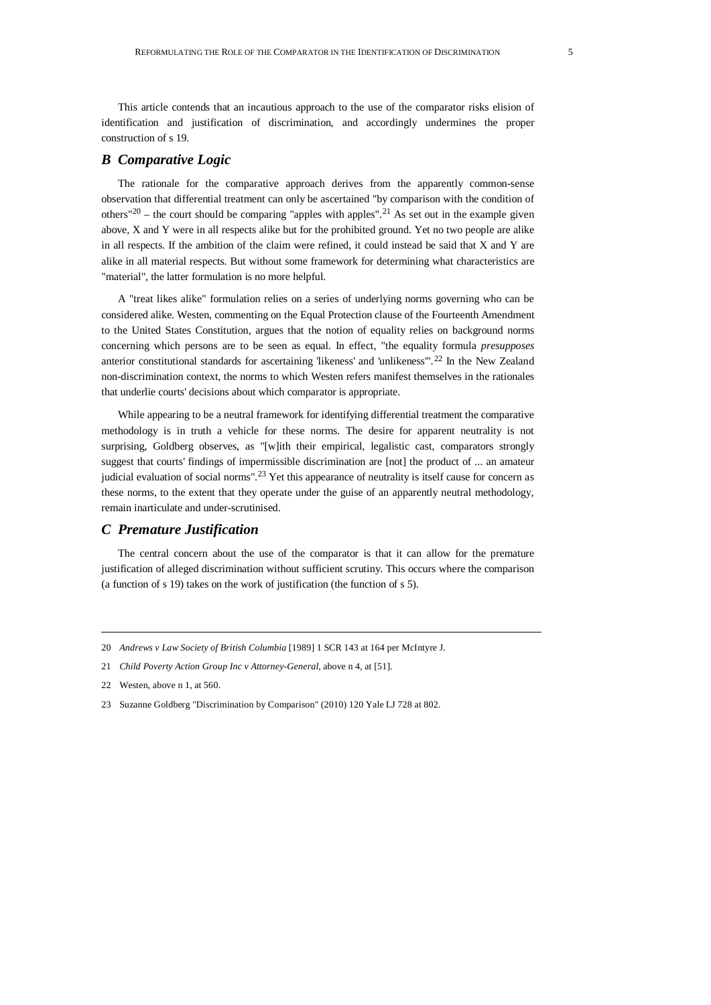This article contends that an incautious approach to the use of the comparator risks elision of identification and justification of discrimination, and accordingly undermines the proper construction of s 19.

### *B Comparative Logic*

The rationale for the comparative approach derives from the apparently common-sense observation that differential treatment can only be ascertained "by comparison with the condition of others" $20$  – the court should be comparing "apples with apples".<sup>[21](#page-4-1)</sup> As set out in the example given above, X and Y were in all respects alike but for the prohibited ground. Yet no two people are alike in all respects. If the ambition of the claim were refined, it could instead be said that X and Y are alike in all material respects. But without some framework for determining what characteristics are "material", the latter formulation is no more helpful.

A "treat likes alike" formulation relies on a series of underlying norms governing who can be considered alike. Westen, commenting on the Equal Protection clause of the Fourteenth Amendment to the United States Constitution, argues that the notion of equality relies on background norms concerning which persons are to be seen as equal. In effect, "the equality formula *presupposes* anterior constitutional standards for ascertaining 'likeness' and 'unlikeness".<sup>[22](#page-4-2)</sup> In the New Zealand non-discrimination context, the norms to which Westen refers manifest themselves in the rationales that underlie courts' decisions about which comparator is appropriate.

While appearing to be a neutral framework for identifying differential treatment the comparative methodology is in truth a vehicle for these norms. The desire for apparent neutrality is not surprising, Goldberg observes, as "[w]ith their empirical, legalistic cast, comparators strongly suggest that courts' findings of impermissible discrimination are [not] the product of ... an amateur judicial evaluation of social norms".<sup>[23](#page-4-3)</sup> Yet this appearance of neutrality is itself cause for concern as these norms, to the extent that they operate under the guise of an apparently neutral methodology, remain inarticulate and under-scrutinised.

# *C Premature Justification*

The central concern about the use of the comparator is that it can allow for the premature justification of alleged discrimination without sufficient scrutiny. This occurs where the comparison (a function of s 19) takes on the work of justification (the function of s 5).

<span id="page-4-0"></span><sup>20</sup> *Andrews v Law Society of British Columbia* [1989] 1 SCR 143 at 164 per McIntyre J.

<span id="page-4-1"></span><sup>21</sup> *Child Poverty Action Group Inc v Attorney-General*, above n 4, at [51].

<span id="page-4-2"></span><sup>22</sup> Westen, above n 1, at 560.

<span id="page-4-3"></span><sup>23</sup> Suzanne Goldberg "Discrimination by Comparison" (2010) 120 Yale LJ 728 at 802.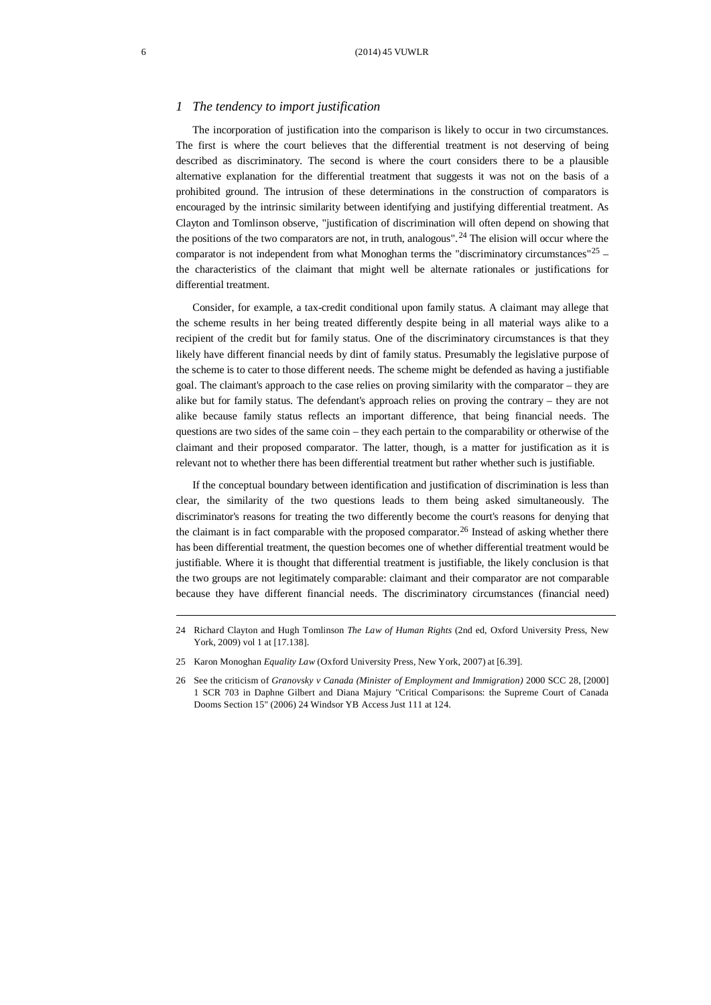#### *1 The tendency to import justification*

The incorporation of justification into the comparison is likely to occur in two circumstances. The first is where the court believes that the differential treatment is not deserving of being described as discriminatory. The second is where the court considers there to be a plausible alternative explanation for the differential treatment that suggests it was not on the basis of a prohibited ground. The intrusion of these determinations in the construction of comparators is encouraged by the intrinsic similarity between identifying and justifying differential treatment. As Clayton and Tomlinson observe, "justification of discrimination will often depend on showing that the positions of the two comparators are not, in truth, analogous". [24](#page-5-0) The elision will occur where the comparator is not independent from what Monoghan terms the "discriminatory circumstances"<sup>[25](#page-5-1)</sup> – the characteristics of the claimant that might well be alternate rationales or justifications for differential treatment.

Consider, for example, a tax-credit conditional upon family status. A claimant may allege that the scheme results in her being treated differently despite being in all material ways alike to a recipient of the credit but for family status. One of the discriminatory circumstances is that they likely have different financial needs by dint of family status. Presumably the legislative purpose of the scheme is to cater to those different needs. The scheme might be defended as having a justifiable goal. The claimant's approach to the case relies on proving similarity with the comparator – they are alike but for family status. The defendant's approach relies on proving the contrary – they are not alike because family status reflects an important difference, that being financial needs. The questions are two sides of the same coin – they each pertain to the comparability or otherwise of the claimant and their proposed comparator. The latter, though, is a matter for justification as it is relevant not to whether there has been differential treatment but rather whether such is justifiable.

If the conceptual boundary between identification and justification of discrimination is less than clear, the similarity of the two questions leads to them being asked simultaneously. The discriminator's reasons for treating the two differently become the court's reasons for denying that the claimant is in fact comparable with the proposed comparator.<sup>[26](#page-5-2)</sup> Instead of asking whether there has been differential treatment, the question becomes one of whether differential treatment would be justifiable. Where it is thought that differential treatment is justifiable, the likely conclusion is that the two groups are not legitimately comparable: claimant and their comparator are not comparable because they have different financial needs. The discriminatory circumstances (financial need)

<span id="page-5-0"></span><sup>24</sup> Richard Clayton and Hugh Tomlinson *The Law of Human Rights* (2nd ed, Oxford University Press, New York, 2009) vol 1 at [17.138].

<span id="page-5-1"></span><sup>25</sup> Karon Monoghan *Equality Law* (Oxford University Press, New York, 2007) at [6.39].

<span id="page-5-2"></span><sup>26</sup> See the criticism of *Granovsky v Canada (Minister of Employment and Immigration)* 2000 SCC 28, [2000] 1 SCR 703 in Daphne Gilbert and Diana Majury "Critical Comparisons: the Supreme Court of Canada Dooms Section 15" (2006) 24 Windsor YB Access Just 111 at 124.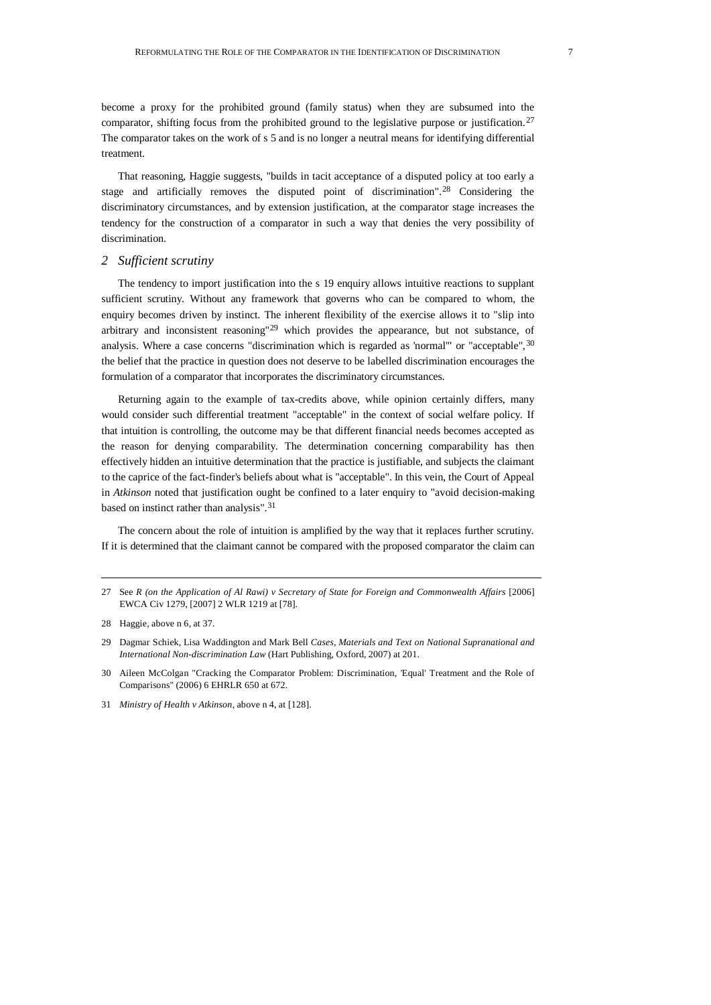become a proxy for the prohibited ground (family status) when they are subsumed into the comparator, shifting focus from the prohibited ground to the legislative purpose or justification.<sup>[27](#page-6-0)</sup> The comparator takes on the work of s 5 and is no longer a neutral means for identifying differential treatment.

That reasoning, Haggie suggests, "builds in tacit acceptance of a disputed policy at too early a stage and artificially removes the disputed point of discrimination".<sup>[28](#page-6-1)</sup> Considering the discriminatory circumstances, and by extension justification, at the comparator stage increases the tendency for the construction of a comparator in such a way that denies the very possibility of discrimination.

#### *2 Sufficient scrutiny*

The tendency to import justification into the s 19 enquiry allows intuitive reactions to supplant sufficient scrutiny. Without any framework that governs who can be compared to whom, the enquiry becomes driven by instinct. The inherent flexibility of the exercise allows it to "slip into arbitrary and inconsistent reasoning"<sup>[29](#page-6-2)</sup> which provides the appearance, but not substance, of analysis. Where a case concerns "discrimination which is regarded as 'normal'" or "acceptable", <sup>[30](#page-6-3)</sup> the belief that the practice in question does not deserve to be labelled discrimination encourages the formulation of a comparator that incorporates the discriminatory circumstances.

Returning again to the example of tax-credits above, while opinion certainly differs, many would consider such differential treatment "acceptable" in the context of social welfare policy. If that intuition is controlling, the outcome may be that different financial needs becomes accepted as the reason for denying comparability. The determination concerning comparability has then effectively hidden an intuitive determination that the practice is justifiable, and subjects the claimant to the caprice of the fact-finder's beliefs about what is "acceptable". In this vein, the Court of Appeal in *Atkinson* noted that justification ought be confined to a later enquiry to "avoid decision-making based on instinct rather than analysis". [31](#page-6-4)

The concern about the role of intuition is amplified by the way that it replaces further scrutiny. If it is determined that the claimant cannot be compared with the proposed comparator the claim can

<span id="page-6-0"></span><sup>27</sup> See *R (on the Application of Al Rawi) v Secretary of State for Foreign and Commonwealth Affairs* [2006] EWCA Civ 1279, [2007] 2 WLR 1219 at [78].

<span id="page-6-1"></span><sup>28</sup> Haggie, above n 6, at 37.

<span id="page-6-2"></span><sup>29</sup> Dagmar Schiek, Lisa Waddington and Mark Bell *Cases, Materials and Text on National Supranational and International Non-discrimination Law* (Hart Publishing, Oxford, 2007) at 201.

<span id="page-6-3"></span><sup>30</sup> Aileen McColgan "Cracking the Comparator Problem: Discrimination, 'Equal' Treatment and the Role of Comparisons" (2006) 6 EHRLR 650 at 672.

<span id="page-6-4"></span><sup>31</sup> *Ministry of Health v Atkinson*, above n 4, at [128].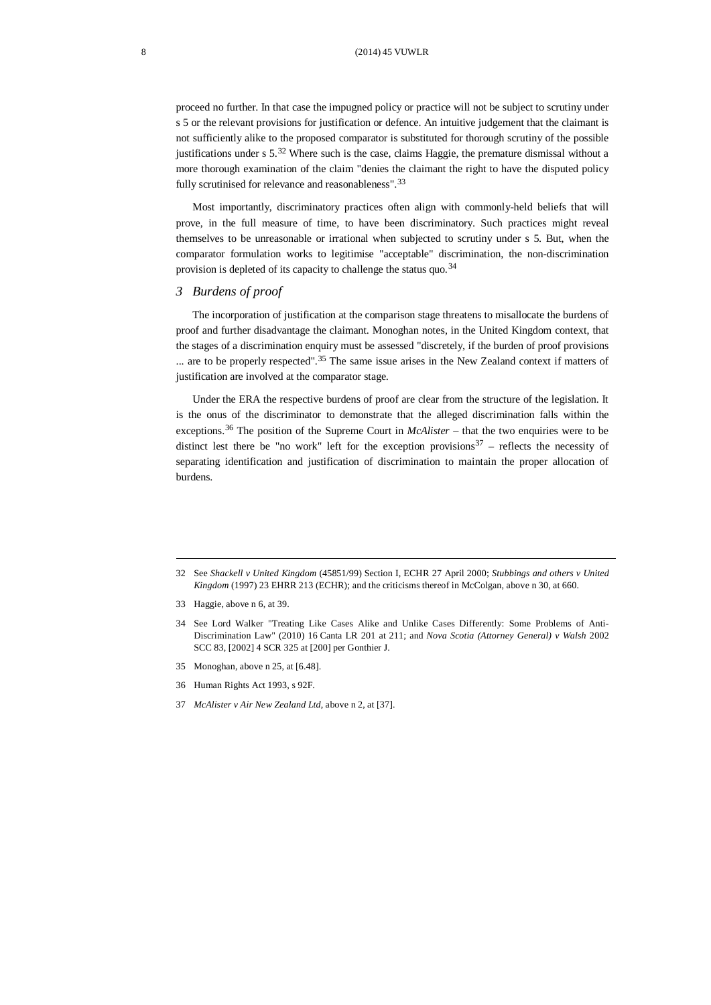proceed no further. In that case the impugned policy or practice will not be subject to scrutiny under s 5 or the relevant provisions for justification or defence. An intuitive judgement that the claimant is not sufficiently alike to the proposed comparator is substituted for thorough scrutiny of the possible justifications under  $s$  5.<sup>[32](#page-7-0)</sup> Where such is the case, claims Haggie, the premature dismissal without a more thorough examination of the claim "denies the claimant the right to have the disputed policy fully scrutinised for relevance and reasonableness".<sup>[33](#page-7-1)</sup>

Most importantly, discriminatory practices often align with commonly-held beliefs that will prove, in the full measure of time, to have been discriminatory. Such practices might reveal themselves to be unreasonable or irrational when subjected to scrutiny under s 5. But, when the comparator formulation works to legitimise "acceptable" discrimination, the non-discrimination provision is depleted of its capacity to challenge the status quo.  $34$ 

#### *3 Burdens of proof*

The incorporation of justification at the comparison stage threatens to misallocate the burdens of proof and further disadvantage the claimant. Monoghan notes, in the United Kingdom context, that the stages of a discrimination enquiry must be assessed "discretely, if the burden of proof provisions ... are to be properly respected".<sup>[35](#page-7-3)</sup> The same issue arises in the New Zealand context if matters of justification are involved at the comparator stage.

Under the ERA the respective burdens of proof are clear from the structure of the legislation. It is the onus of the discriminator to demonstrate that the alleged discrimination falls within the exceptions.<sup>[36](#page-7-4)</sup> The position of the Supreme Court in *McAlister* – that the two enquiries were to be distinct lest there be "no work" left for the exception provisions  $37$  – reflects the necessity of separating identification and justification of discrimination to maintain the proper allocation of burdens.

<span id="page-7-5"></span>37 *McAlister v Air New Zealand Ltd*, above n 2, at [37].

<span id="page-7-0"></span><sup>32</sup> See *Shackell v United Kingdom* (45851/99) Section I, ECHR 27 April 2000; *Stubbings and others v United Kingdom* (1997) 23 EHRR 213 (ECHR); and the criticisms thereof in McColgan, above n 30, at 660.

<span id="page-7-1"></span><sup>33</sup> Haggie, above n 6, at 39.

<span id="page-7-2"></span><sup>34</sup> See Lord Walker "Treating Like Cases Alike and Unlike Cases Differently: Some Problems of Anti-Discrimination Law" (2010) 16 Canta LR 201 at 211; and *Nova Scotia (Attorney General) v Walsh* 2002 SCC 83, [2002] 4 SCR 325 at [200] per Gonthier J.

<span id="page-7-3"></span><sup>35</sup> Monoghan, above n 25, at [6.48].

<span id="page-7-4"></span><sup>36</sup> Human Rights Act 1993, s 92F.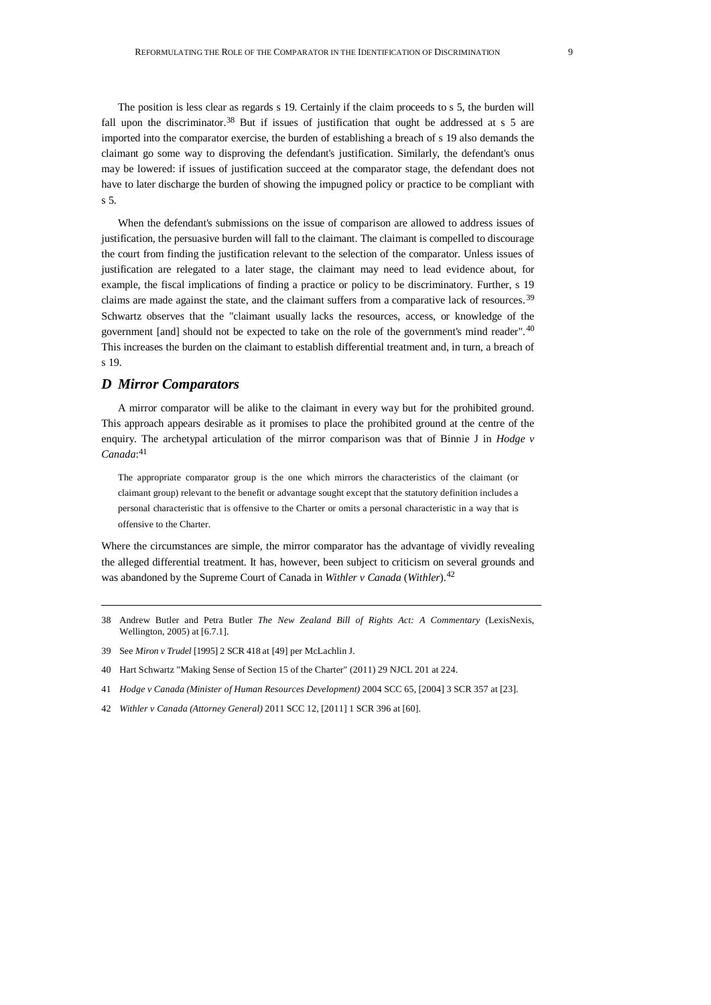The position is less clear as regards s 19. Certainly if the claim proceeds to s 5, the burden will fall upon the discriminator.<sup>[38](#page-8-0)</sup> But if issues of justification that ought be addressed at s 5 are imported into the comparator exercise, the burden of establishing a breach of s 19 also demands the claimant go some way to disproving the defendant's justification. Similarly, the defendant's onus may be lowered: if issues of justification succeed at the comparator stage, the defendant does not have to later discharge the burden of showing the impugned policy or practice to be compliant with s 5.

When the defendant's submissions on the issue of comparison are allowed to address issues of justification, the persuasive burden will fall to the claimant. The claimant is compelled to discourage the court from finding the justification relevant to the selection of the comparator. Unless issues of justification are relegated to a later stage, the claimant may need to lead evidence about, for example, the fiscal implications of finding a practice or policy to be discriminatory. Further, s 19 claims are made against the state, and the claimant suffers from a comparative lack of resources. [39](#page-8-1) Schwartz observes that the "claimant usually lacks the resources, access, or knowledge of the government [and] should not be expected to take on the role of the government's mind reader".<sup>[40](#page-8-2)</sup> This increases the burden on the claimant to establish differential treatment and, in turn, a breach of s 19.

# *D Mirror Comparators*

A mirror comparator will be alike to the claimant in every way but for the prohibited ground. This approach appears desirable as it promises to place the prohibited ground at the centre of the enquiry. The archetypal articulation of the mirror comparison was that of Binnie J in *Hodge v Canada*: [41](#page-8-3)

The appropriate comparator group is the one which mirrors the characteristics of the claimant (or claimant group) relevant to the benefit or advantage sought except that the statutory definition includes a personal characteristic that is offensive to the Charter or omits a personal characteristic in a way that is offensive to the Charter.

Where the circumstances are simple, the mirror comparator has the advantage of vividly revealing the alleged differential treatment. It has, however, been subject to criticism on several grounds and was abandoned by the Supreme Court of Canada in *Withler v Canada* (*Withler*). [42](#page-8-4)

- <span id="page-8-0"></span>38 Andrew Butler and Petra Butler *The New Zealand Bill of Rights Act: A Commentary* (LexisNexis, Wellington, 2005) at [6.7.1].
- <span id="page-8-1"></span>39 See *Miron v Trudel* [1995] 2 SCR 418 at [49] per McLachlin J.
- <span id="page-8-2"></span>40 Hart Schwartz "Making Sense of Section 15 of the Charter" (2011) 29 NJCL 201 at 224.
- <span id="page-8-3"></span>41 *Hodge v Canada (Minister of Human Resources Development)* 2004 SCC 65, [2004] 3 SCR 357 at [23].
- <span id="page-8-4"></span>42 *Withler v Canada (Attorney General)* 2011 SCC 12, [2011] 1 SCR 396 at [60].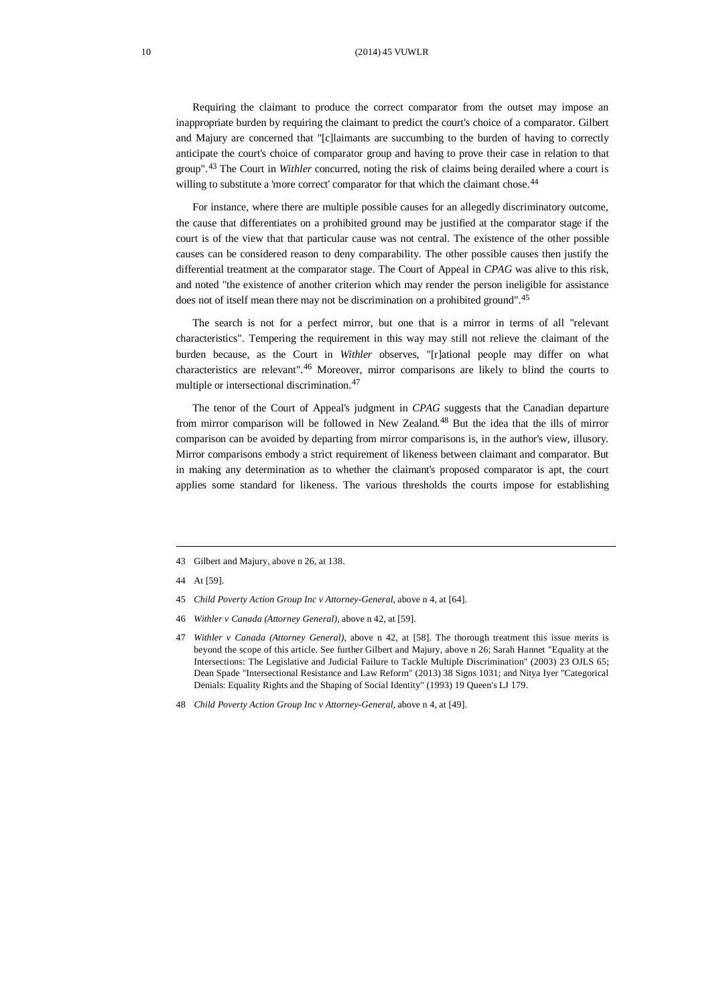Requiring the claimant to produce the correct comparator from the outset may impose an inappropriate burden by requiring the claimant to predict the court's choice of a comparator. Gilbert and Majury are concerned that "[c]laimants are succumbing to the burden of having to correctly anticipate the court's choice of comparator group and having to prove their case in relation to that group". [43](#page-9-0) The Court in *Withler* concurred, noting the risk of claims being derailed where a court is willing to substitute a 'more correct' comparator for that which the claimant chose.<sup>[44](#page-9-1)</sup>

For instance, where there are multiple possible causes for an allegedly discriminatory outcome, the cause that differentiates on a prohibited ground may be justified at the comparator stage if the court is of the view that that particular cause was not central. The existence of the other possible causes can be considered reason to deny comparability. The other possible causes then justify the differential treatment at the comparator stage. The Court of Appeal in *CPAG* was alive to this risk, and noted "the existence of another criterion which may render the person ineligible for assistance does not of itself mean there may not be discrimination on a prohibited ground".<sup>[45](#page-9-2)</sup>

The search is not for a perfect mirror, but one that is a mirror in terms of all "relevant characteristics". Tempering the requirement in this way may still not relieve the claimant of the burden because, as the Court in *Withler* observes, "[r]ational people may differ on what characteristics are relevant". [46](#page-9-3) Moreover, mirror comparisons are likely to blind the courts to multiple or intersectional discrimination.<sup>[47](#page-9-4)</sup>

The tenor of the Court of Appeal's judgment in *CPAG* suggests that the Canadian departure from mirror comparison will be followed in New Zealand.<sup>[48](#page-9-5)</sup> But the idea that the ills of mirror comparison can be avoided by departing from mirror comparisons is, in the author's view, illusory. Mirror comparisons embody a strict requirement of likeness between claimant and comparator. But in making any determination as to whether the claimant's proposed comparator is apt, the court applies some standard for likeness. The various thresholds the courts impose for establishing

<span id="page-9-1"></span>44 At [59].

- <span id="page-9-3"></span>46 *Withler v Canada (Attorney General)*, above n 42, at [59].
- <span id="page-9-4"></span>47 *Withler v Canada (Attorney General)*, above n 42, at [58]. The thorough treatment this issue merits is beyond the scope of this article. See further Gilbert and Majury, above n 26; Sarah Hannet "Equality at the Intersections: The Legislative and Judicial Failure to Tackle Multiple Discrimination" (2003) 23 OJLS 65; Dean Spade "Intersectional Resistance and Law Reform" (2013) 38 Signs 1031; and Nitya Iyer "Categorical Denials: Equality Rights and the Shaping of Social Identity" (1993) 19 Queen's LJ 179.
- <span id="page-9-5"></span>48 *Child Poverty Action Group Inc v Attorney-General*, above n 4, at [49].

<span id="page-9-0"></span><sup>43</sup> Gilbert and Majury, above n 26, at 138.

<span id="page-9-2"></span><sup>45</sup> *Child Poverty Action Group Inc v Attorney-General*, above n 4, at [64].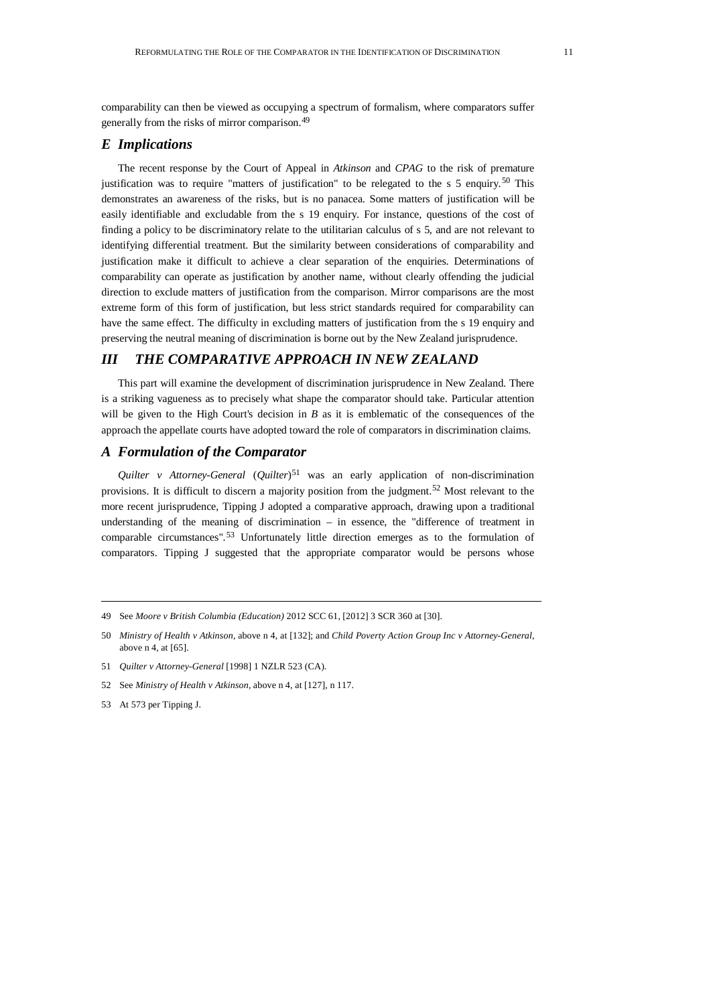comparability can then be viewed as occupying a spectrum of formalism, where comparators suffer generally from the risks of mirror comparison.<sup>[49](#page-10-0)</sup>

## *E Implications*

The recent response by the Court of Appeal in *Atkinson* and *CPAG* to the risk of premature justification was to require "matters of justification" to be relegated to the s 5 enquiry.<sup>[50](#page-10-1)</sup> This demonstrates an awareness of the risks, but is no panacea. Some matters of justification will be easily identifiable and excludable from the s 19 enquiry. For instance, questions of the cost of finding a policy to be discriminatory relate to the utilitarian calculus of s 5, and are not relevant to identifying differential treatment. But the similarity between considerations of comparability and justification make it difficult to achieve a clear separation of the enquiries. Determinations of comparability can operate as justification by another name, without clearly offending the judicial direction to exclude matters of justification from the comparison. Mirror comparisons are the most extreme form of this form of justification, but less strict standards required for comparability can have the same effect. The difficulty in excluding matters of justification from the s 19 enquiry and preserving the neutral meaning of discrimination is borne out by the New Zealand jurisprudence.

# *III THE COMPARATIVE APPROACH IN NEW ZEALAND*

This part will examine the development of discrimination jurisprudence in New Zealand. There is a striking vagueness as to precisely what shape the comparator should take. Particular attention will be given to the High Court's decision in *B* as it is emblematic of the consequences of the approach the appellate courts have adopted toward the role of comparators in discrimination claims.

## *A Formulation of the Comparator*

*Quilter v Attorney-General* (*Quilter*)[51](#page-10-2) was an early application of non-discrimination provisions. It is difficult to discern a majority position from the judgment.<sup>[52](#page-10-3)</sup> Most relevant to the more recent jurisprudence, Tipping J adopted a comparative approach, drawing upon a traditional understanding of the meaning of discrimination – in essence, the "difference of treatment in comparable circumstances". [53](#page-10-4) Unfortunately little direction emerges as to the formulation of comparators. Tipping J suggested that the appropriate comparator would be persons whose

<span id="page-10-4"></span>53 At 573 per Tipping J.

<span id="page-10-0"></span><sup>49</sup> See *Moore v British Columbia (Education)* 2012 SCC 61, [2012] 3 SCR 360 at [30].

<span id="page-10-1"></span><sup>50</sup> *Ministry of Health v Atkinson*, above n 4, at [132]; and *Child Poverty Action Group Inc v Attorney-General*, above n 4, at [65].

<span id="page-10-2"></span><sup>51</sup> *Quilter v Attorney-General* [1998] 1 NZLR 523 (CA).

<span id="page-10-3"></span><sup>52</sup> See *Ministry of Health v Atkinson*, above n 4, at [127], n 117.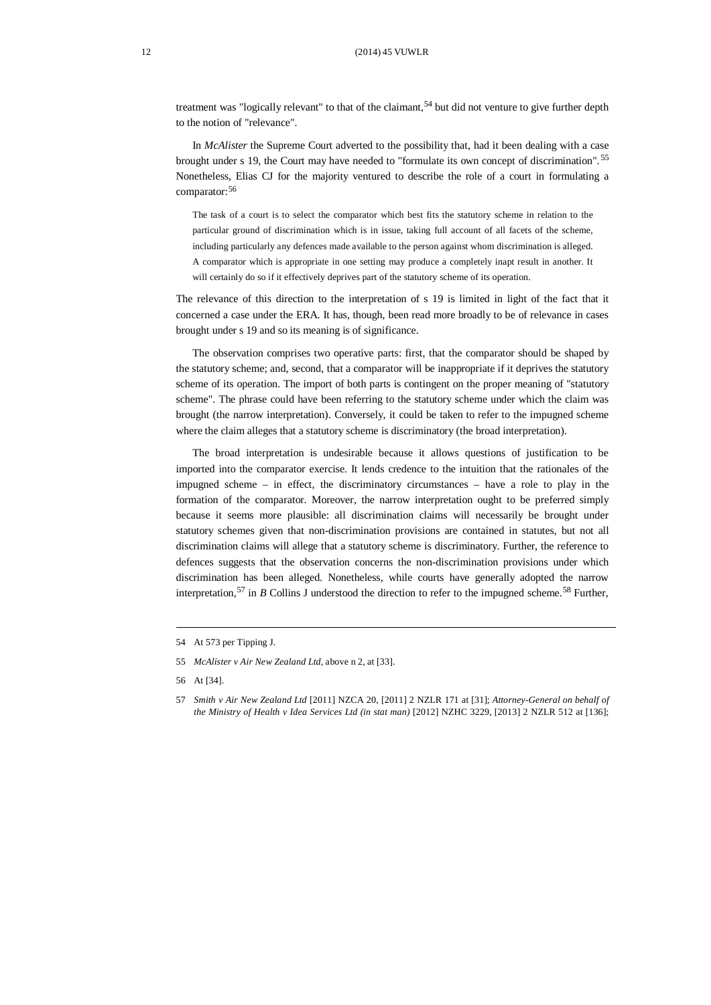#### 12 (2014) 45 VUWLR

treatment was "logically relevant" to that of the claimant,<sup>[54](#page-11-0)</sup> but did not venture to give further depth to the notion of "relevance".

In *McAlister* the Supreme Court adverted to the possibility that, had it been dealing with a case brought under s 19, the Court may have needed to "formulate its own concept of discrimination". [55](#page-11-1) Nonetheless, Elias CJ for the majority ventured to describe the role of a court in formulating a comparator:[56](#page-11-2)

The task of a court is to select the comparator which best fits the statutory scheme in relation to the particular ground of discrimination which is in issue, taking full account of all facets of the scheme, including particularly any defences made available to the person against whom discrimination is alleged. A comparator which is appropriate in one setting may produce a completely inapt result in another. It will certainly do so if it effectively deprives part of the statutory scheme of its operation.

The relevance of this direction to the interpretation of s 19 is limited in light of the fact that it concerned a case under the ERA. It has, though, been read more broadly to be of relevance in cases brought under s 19 and so its meaning is of significance.

The observation comprises two operative parts: first, that the comparator should be shaped by the statutory scheme; and, second, that a comparator will be inappropriate if it deprives the statutory scheme of its operation. The import of both parts is contingent on the proper meaning of "statutory scheme". The phrase could have been referring to the statutory scheme under which the claim was brought (the narrow interpretation). Conversely, it could be taken to refer to the impugned scheme where the claim alleges that a statutory scheme is discriminatory (the broad interpretation).

The broad interpretation is undesirable because it allows questions of justification to be imported into the comparator exercise. It lends credence to the intuition that the rationales of the impugned scheme – in effect, the discriminatory circumstances – have a role to play in the formation of the comparator. Moreover, the narrow interpretation ought to be preferred simply because it seems more plausible: all discrimination claims will necessarily be brought under statutory schemes given that non-discrimination provisions are contained in statutes, but not all discrimination claims will allege that a statutory scheme is discriminatory. Further, the reference to defences suggests that the observation concerns the non-discrimination provisions under which discrimination has been alleged. Nonetheless, while courts have generally adopted the narrow interpretation,<sup>[57](#page-11-3)</sup> in *B* Collins J understood the direction to refer to the impugned scheme.<sup>[58](#page-11-4)</sup> Further,

<span id="page-11-4"></span><span id="page-11-0"></span><sup>54</sup> At 573 per Tipping J.

<span id="page-11-1"></span><sup>55</sup> *McAlister v Air New Zealand Ltd*, above n 2, at [33].

<span id="page-11-2"></span><sup>56</sup> At [34].

<span id="page-11-3"></span><sup>57</sup> *Smith v Air New Zealand Ltd* [2011] NZCA 20, [2011] 2 NZLR 171 at [31]; *Attorney-General on behalf of the Ministry of Health v Idea Services Ltd (in stat man)* [2012] NZHC 3229, [2013] 2 NZLR 512 at [136];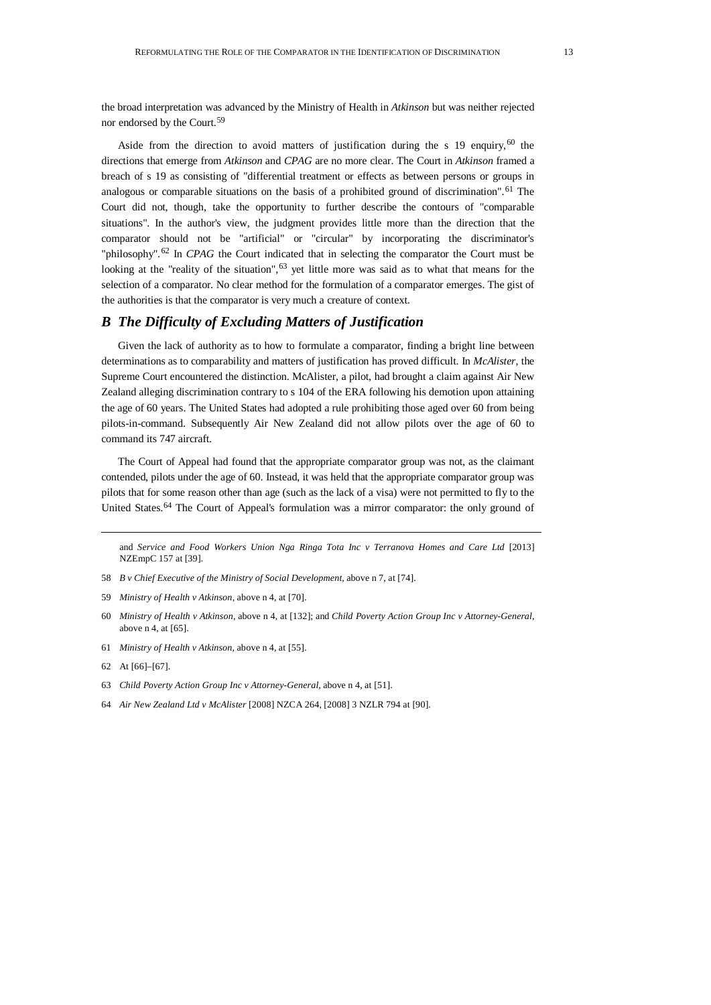the broad interpretation was advanced by the Ministry of Health in *Atkinson* but was neither rejected nor endorsed by the Court. [59](#page-12-0)

Aside from the direction to avoid matters of justification during the s 19 enquiry,  $60$  the directions that emerge from *Atkinson* and *CPAG* are no more clear. The Court in *Atkinson* framed a breach of s 19 as consisting of "differential treatment or effects as between persons or groups in analogous or comparable situations on the basis of a prohibited ground of discrimination". [61](#page-12-2) The Court did not, though, take the opportunity to further describe the contours of "comparable situations". In the author's view, the judgment provides little more than the direction that the comparator should not be "artificial" or "circular" by incorporating the discriminator's "philosophy".<sup>[62](#page-12-3)</sup> In *CPAG* the Court indicated that in selecting the comparator the Court must be looking at the "reality of the situation",  $63$  yet little more was said as to what that means for the selection of a comparator. No clear method for the formulation of a comparator emerges. The gist of the authorities is that the comparator is very much a creature of context.

# *B The Difficulty of Excluding Matters of Justification*

Given the lack of authority as to how to formulate a comparator, finding a bright line between determinations as to comparability and matters of justification has proved difficult. In *McAlister*, the Supreme Court encountered the distinction. McAlister, a pilot, had brought a claim against Air New Zealand alleging discrimination contrary to s 104 of the ERA following his demotion upon attaining the age of 60 years. The United States had adopted a rule prohibiting those aged over 60 from being pilots-in-command. Subsequently Air New Zealand did not allow pilots over the age of 60 to command its 747 aircraft.

The Court of Appeal had found that the appropriate comparator group was not, as the claimant contended, pilots under the age of 60. Instead, it was held that the appropriate comparator group was pilots that for some reason other than age (such as the lack of a visa) were not permitted to fly to the United States.<sup>[64](#page-12-5)</sup> The Court of Appeal's formulation was a mirror comparator: the only ground of

and *Service and Food Workers Union Nga Ringa Tota Inc v Terranova Homes and Care Ltd* [2013] NZEmpC 157 at [39].

- 58 *B v Chief Executive of the Ministry of Social Development*, above n 7, at [74].
- <span id="page-12-0"></span>59 *Ministry of Health v Atkinson*, above n 4, at [70].
- <span id="page-12-1"></span>60 *Ministry of Health v Atkinson*, above n 4, at [132]; and *Child Poverty Action Group Inc v Attorney-General*, above n 4, at [65].
- <span id="page-12-2"></span>61 *Ministry of Health v Atkinson*, above n 4, at [55].
- <span id="page-12-3"></span>62 At [66]–[67].
- <span id="page-12-4"></span>63 *Child Poverty Action Group Inc v Attorney-General*, above n 4, at [51].
- <span id="page-12-5"></span>64 *Air New Zealand Ltd v McAlister* [2008] NZCA 264, [2008] 3 NZLR 794 at [90].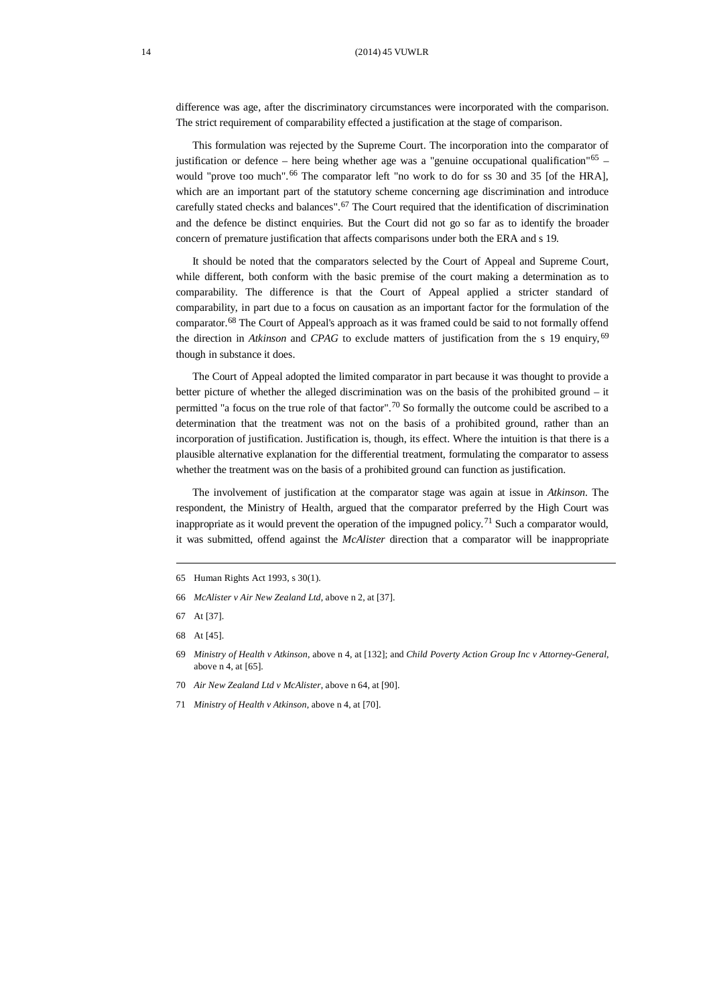#### 14 (2014) 45 VUWLR

difference was age, after the discriminatory circumstances were incorporated with the comparison. The strict requirement of comparability effected a justification at the stage of comparison.

This formulation was rejected by the Supreme Court. The incorporation into the comparator of justification or defence – here being whether age was a "genuine occupational qualification"<sup>[65](#page-13-0)</sup> – would "prove too much". [66](#page-13-1) The comparator left "no work to do for ss 30 and 35 [of the HRA], which are an important part of the statutory scheme concerning age discrimination and introduce carefully stated checks and balances". [67](#page-13-2) The Court required that the identification of discrimination and the defence be distinct enquiries. But the Court did not go so far as to identify the broader concern of premature justification that affects comparisons under both the ERA and s 19.

It should be noted that the comparators selected by the Court of Appeal and Supreme Court, while different, both conform with the basic premise of the court making a determination as to comparability. The difference is that the Court of Appeal applied a stricter standard of comparability, in part due to a focus on causation as an important factor for the formulation of the comparator.[68](#page-13-3) The Court of Appeal's approach as it was framed could be said to not formally offend the direction in *Atkinson* and *CPAG* to exclude matters of justification from the s 19 enquiry, [69](#page-13-4) though in substance it does.

The Court of Appeal adopted the limited comparator in part because it was thought to provide a better picture of whether the alleged discrimination was on the basis of the prohibited ground – it permitted "a focus on the true role of that factor".<sup>[70](#page-13-5)</sup> So formally the outcome could be ascribed to a determination that the treatment was not on the basis of a prohibited ground, rather than an incorporation of justification. Justification is, though, its effect. Where the intuition is that there is a plausible alternative explanation for the differential treatment, formulating the comparator to assess whether the treatment was on the basis of a prohibited ground can function as justification.

The involvement of justification at the comparator stage was again at issue in *Atkinson*. The respondent, the Ministry of Health, argued that the comparator preferred by the High Court was inappropriate as it would prevent the operation of the impugned policy.<sup>[71](#page-13-6)</sup> Such a comparator would, it was submitted, offend against the *McAlister* direction that a comparator will be inappropriate

- <span id="page-13-1"></span>66 *McAlister v Air New Zealand Ltd*, above n 2, at [37].
- <span id="page-13-2"></span>67 At [37].
- <span id="page-13-3"></span>68 At [45].
- <span id="page-13-4"></span>69 *Ministry of Health v Atkinson*, above n 4, at [132]; and *Child Poverty Action Group Inc v Attorney-General*, above n 4, at [65].
- <span id="page-13-5"></span>70 *Air New Zealand Ltd v McAlister*, above n 64, at [90].
- <span id="page-13-6"></span>71 *Ministry of Health v Atkinson*, above n 4, at [70].

<span id="page-13-0"></span><sup>65</sup> Human Rights Act 1993, s 30(1).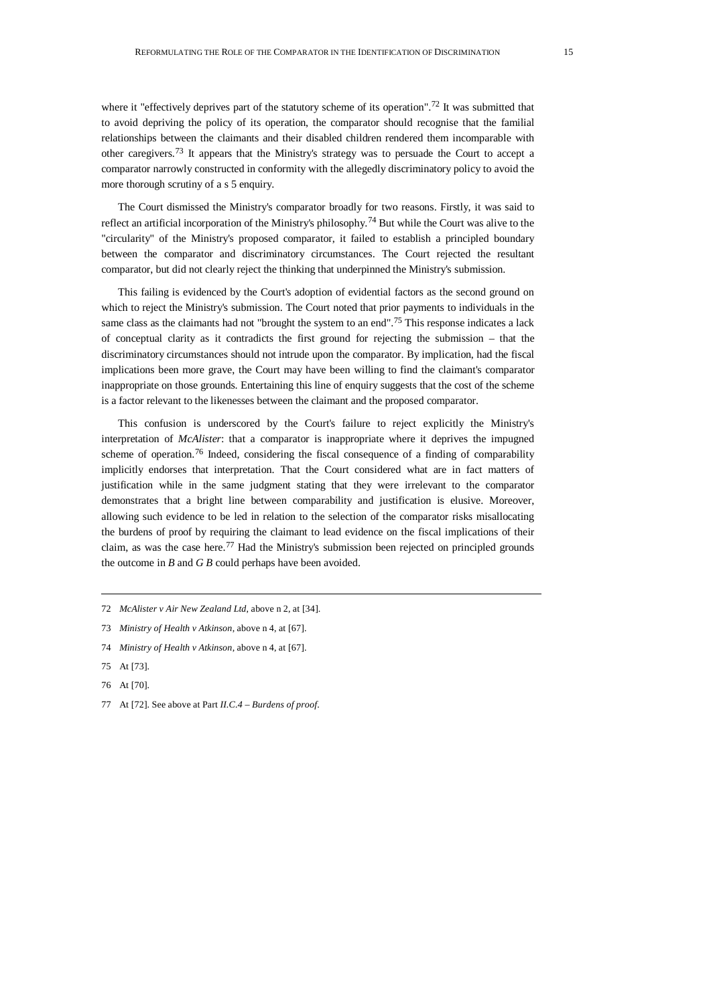where it "effectively deprives part of the statutory scheme of its operation".<sup>[72](#page-14-0)</sup> It was submitted that to avoid depriving the policy of its operation, the comparator should recognise that the familial relationships between the claimants and their disabled children rendered them incomparable with other caregivers.[73](#page-14-1) It appears that the Ministry's strategy was to persuade the Court to accept a comparator narrowly constructed in conformity with the allegedly discriminatory policy to avoid the more thorough scrutiny of a s 5 enquiry.

The Court dismissed the Ministry's comparator broadly for two reasons. Firstly, it was said to reflect an artificial incorporation of the Ministry's philosophy.<sup>[74](#page-14-2)</sup> But while the Court was alive to the "circularity" of the Ministry's proposed comparator, it failed to establish a principled boundary between the comparator and discriminatory circumstances. The Court rejected the resultant comparator, but did not clearly reject the thinking that underpinned the Ministry's submission.

This failing is evidenced by the Court's adoption of evidential factors as the second ground on which to reject the Ministry's submission. The Court noted that prior payments to individuals in the same class as the claimants had not "brought the system to an end".<sup>[75](#page-14-3)</sup> This response indicates a lack of conceptual clarity as it contradicts the first ground for rejecting the submission – that the discriminatory circumstances should not intrude upon the comparator. By implication, had the fiscal implications been more grave, the Court may have been willing to find the claimant's comparator inappropriate on those grounds. Entertaining this line of enquiry suggests that the cost of the scheme is a factor relevant to the likenesses between the claimant and the proposed comparator.

This confusion is underscored by the Court's failure to reject explicitly the Ministry's interpretation of *McAlister*: that a comparator is inappropriate where it deprives the impugned scheme of operation.<sup>[76](#page-14-4)</sup> Indeed, considering the fiscal consequence of a finding of comparability implicitly endorses that interpretation. That the Court considered what are in fact matters of justification while in the same judgment stating that they were irrelevant to the comparator demonstrates that a bright line between comparability and justification is elusive. Moreover, allowing such evidence to be led in relation to the selection of the comparator risks misallocating the burdens of proof by requiring the claimant to lead evidence on the fiscal implications of their claim, as was the case here.<sup>[77](#page-14-5)</sup> Had the Ministry's submission been rejected on principled grounds the outcome in *B* and *G B* could perhaps have been avoided.

- <span id="page-14-0"></span>72 *McAlister v Air New Zealand Ltd*, above n 2, at [34].
- <span id="page-14-1"></span>73 *Ministry of Health v Atkinson*, above n 4, at [67].
- <span id="page-14-2"></span>74 *Ministry of Health v Atkinson*, above n 4, at [67].
- <span id="page-14-3"></span>75 At [73].
- <span id="page-14-4"></span>76 At [70].
- <span id="page-14-5"></span>77 At [72]. See above at Part *II.C.4 – Burdens of proof*.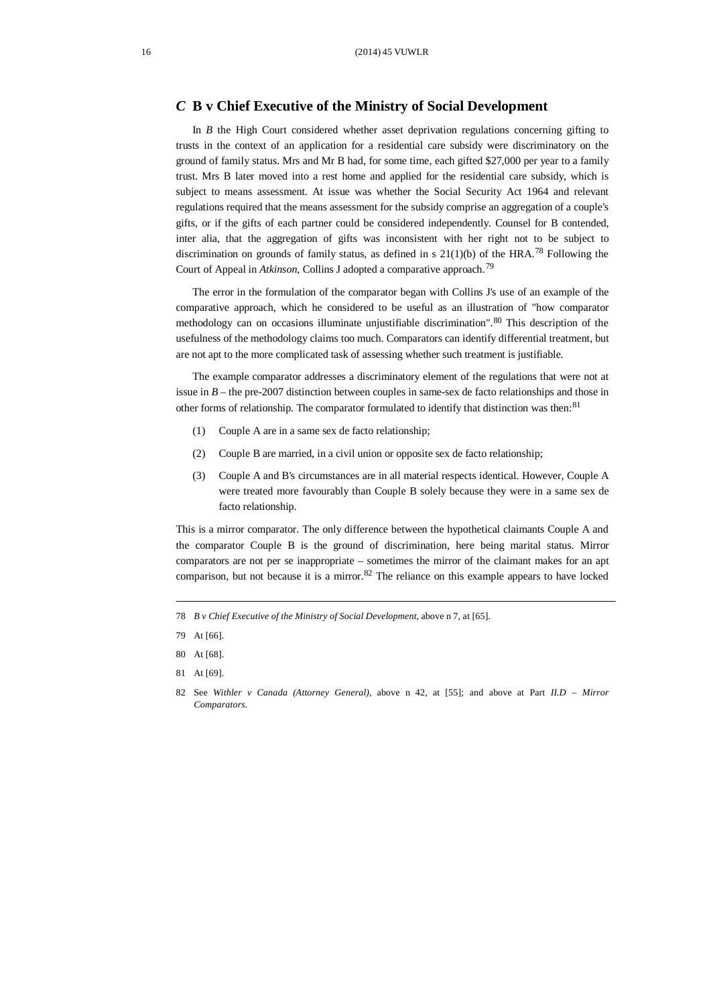## *C* **B v Chief Executive of the Ministry of Social Development**

In *B* the High Court considered whether asset deprivation regulations concerning gifting to trusts in the context of an application for a residential care subsidy were discriminatory on the ground of family status. Mrs and Mr B had, for some time, each gifted \$27,000 per year to a family trust. Mrs B later moved into a rest home and applied for the residential care subsidy, which is subject to means assessment. At issue was whether the Social Security Act 1964 and relevant regulations required that the means assessment for the subsidy comprise an aggregation of a couple's gifts, or if the gifts of each partner could be considered independently. Counsel for B contended, inter alia, that the aggregation of gifts was inconsistent with her right not to be subject to discrimination on grounds of family status, as defined in s  $21(1)(b)$  of the HRA.<sup>[78](#page-15-0)</sup> Following the Court of Appeal in *Atkinson*, Collins J adopted a comparative approach.[79](#page-15-1)

The error in the formulation of the comparator began with Collins J's use of an example of the comparative approach, which he considered to be useful as an illustration of "how comparator methodology can on occasions illuminate unjustifiable discrimination". [80](#page-15-2) This description of the usefulness of the methodology claims too much. Comparators can identify differential treatment, but are not apt to the more complicated task of assessing whether such treatment is justifiable.

The example comparator addresses a discriminatory element of the regulations that were not at issue in  $B$  – the pre-2007 distinction between couples in same-sex de facto relationships and those in other forms of relationship. The comparator formulated to identify that distinction was then:<sup>[81](#page-15-3)</sup>

- (1) Couple A are in a same sex de facto relationship;
- (2) Couple B are married, in a civil union or opposite sex de facto relationship;
- (3) Couple A and B's circumstances are in all material respects identical. However, Couple A were treated more favourably than Couple B solely because they were in a same sex de facto relationship.

This is a mirror comparator. The only difference between the hypothetical claimants Couple A and the comparator Couple B is the ground of discrimination, here being marital status. Mirror comparators are not per se inappropriate – sometimes the mirror of the claimant makes for an apt comparison, but not because it is a mirror. $82$  The reliance on this example appears to have locked

<span id="page-15-0"></span><sup>78</sup> *B v Chief Executive of the Ministry of Social Development*, above n 7, at [65].

<span id="page-15-1"></span><sup>79</sup> At [66].

<span id="page-15-2"></span><sup>80</sup> At [68].

<span id="page-15-3"></span><sup>81</sup> At [69].

<span id="page-15-4"></span><sup>82</sup> See *Withler v Canada (Attorney General)*, above n 42, at [55]; and above at Part *II.D – Mirror Comparators*.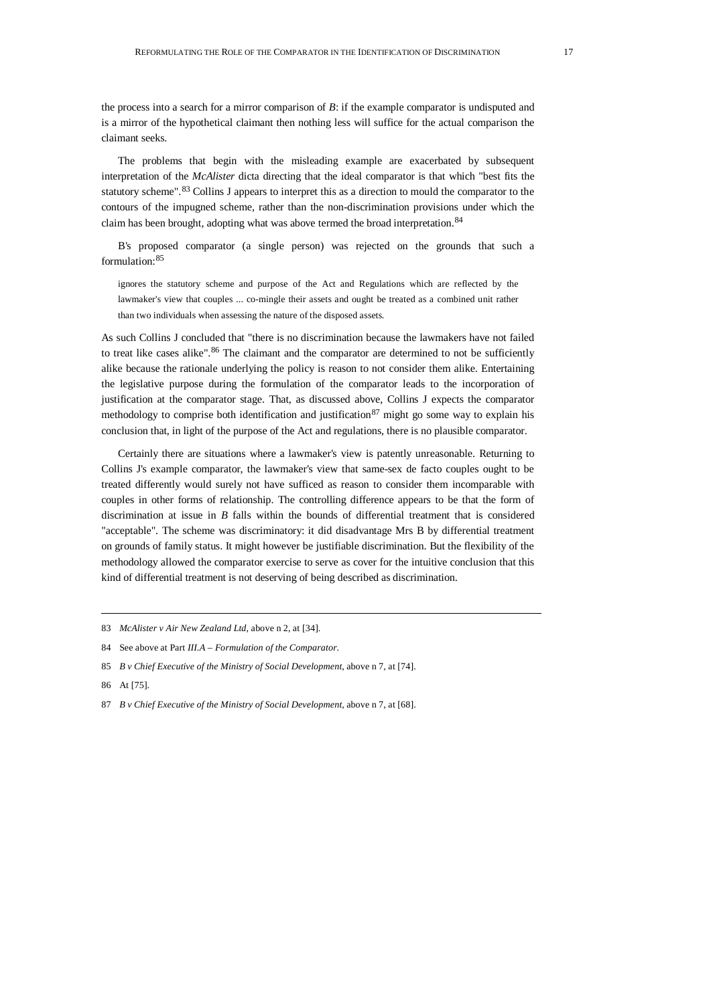the process into a search for a mirror comparison of *B*: if the example comparator is undisputed and is a mirror of the hypothetical claimant then nothing less will suffice for the actual comparison the claimant seeks.

The problems that begin with the misleading example are exacerbated by subsequent interpretation of the *McAlister* dicta directing that the ideal comparator is that which "best fits the statutory scheme".<sup>[83](#page-16-0)</sup> Collins J appears to interpret this as a direction to mould the comparator to the contours of the impugned scheme, rather than the non-discrimination provisions under which the claim has been brought, adopting what was above termed the broad interpretation.<sup>[84](#page-16-1)</sup>

B's proposed comparator (a single person) was rejected on the grounds that such a formulation: [85](#page-16-2)

ignores the statutory scheme and purpose of the Act and Regulations which are reflected by the lawmaker's view that couples ... co-mingle their assets and ought be treated as a combined unit rather than two individuals when assessing the nature of the disposed assets.

As such Collins J concluded that "there is no discrimination because the lawmakers have not failed to treat like cases alike".<sup>[86](#page-16-3)</sup> The claimant and the comparator are determined to not be sufficiently alike because the rationale underlying the policy is reason to not consider them alike. Entertaining the legislative purpose during the formulation of the comparator leads to the incorporation of justification at the comparator stage. That, as discussed above, Collins J expects the comparator methodology to comprise both identification and justification<sup>[87](#page-16-4)</sup> might go some way to explain his conclusion that, in light of the purpose of the Act and regulations, there is no plausible comparator.

Certainly there are situations where a lawmaker's view is patently unreasonable. Returning to Collins J's example comparator, the lawmaker's view that same-sex de facto couples ought to be treated differently would surely not have sufficed as reason to consider them incomparable with couples in other forms of relationship. The controlling difference appears to be that the form of discrimination at issue in *B* falls within the bounds of differential treatment that is considered "acceptable". The scheme was discriminatory: it did disadvantage Mrs B by differential treatment on grounds of family status. It might however be justifiable discrimination. But the flexibility of the methodology allowed the comparator exercise to serve as cover for the intuitive conclusion that this kind of differential treatment is not deserving of being described as discrimination.

<span id="page-16-3"></span>86 At [75].

<span id="page-16-0"></span><sup>83</sup> *McAlister v Air New Zealand Ltd*, above n 2, at [34].

<span id="page-16-1"></span><sup>84</sup> See above at Part *III.A – Formulation of the Comparator.*

<span id="page-16-2"></span><sup>85</sup> *B v Chief Executive of the Ministry of Social Development*, above n 7, at [74].

<span id="page-16-4"></span><sup>87</sup> *B v Chief Executive of the Ministry of Social Development*, above n 7, at [68].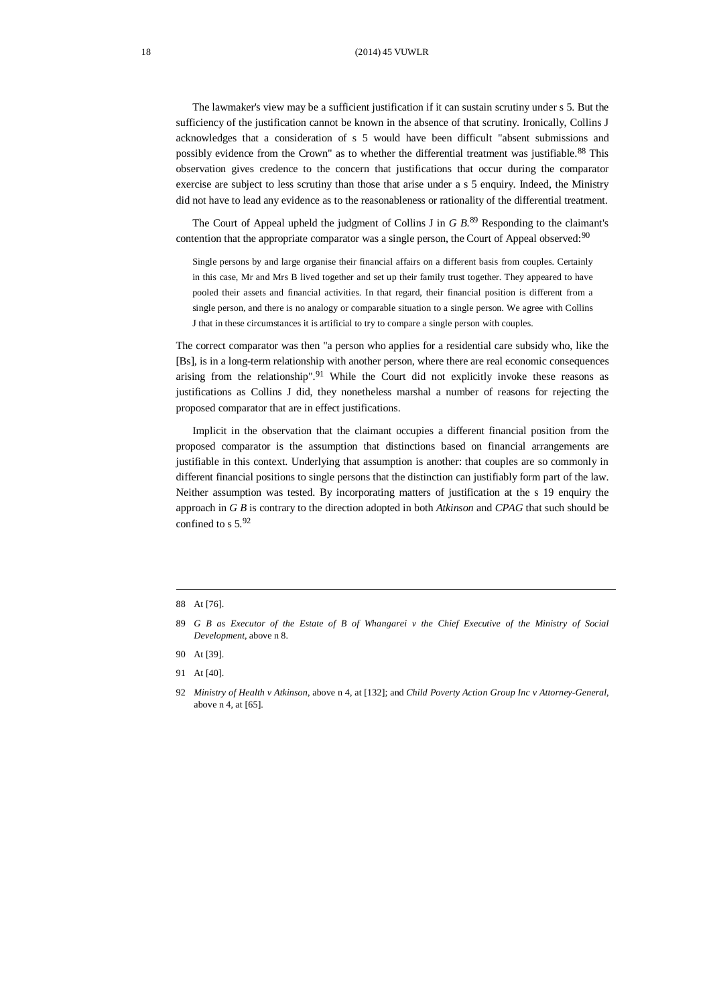The lawmaker's view may be a sufficient justification if it can sustain scrutiny under s 5. But the sufficiency of the justification cannot be known in the absence of that scrutiny. Ironically, Collins J acknowledges that a consideration of s 5 would have been difficult "absent submissions and possibly evidence from the Crown" as to whether the differential treatment was justifiable.<sup>[88](#page-17-0)</sup> This observation gives credence to the concern that justifications that occur during the comparator exercise are subject to less scrutiny than those that arise under a s 5 enquiry. Indeed, the Ministry did not have to lead any evidence as to the reasonableness or rationality of the differential treatment.

The Court of Appeal upheld the judgment of Collins J in *G B*. [89](#page-17-1) Responding to the claimant's contention that the appropriate comparator was a single person, the Court of Appeal observed:<sup>[90](#page-17-2)</sup>

Single persons by and large organise their financial affairs on a different basis from couples. Certainly in this case, Mr and Mrs B lived together and set up their family trust together. They appeared to have pooled their assets and financial activities. In that regard, their financial position is different from a single person, and there is no analogy or comparable situation to a single person. We agree with Collins J that in these circumstances it is artificial to try to compare a single person with couples.

The correct comparator was then "a person who applies for a residential care subsidy who, like the [Bs], is in a long-term relationship with another person, where there are real economic consequences arising from the relationship".<sup>[91](#page-17-3)</sup> While the Court did not explicitly invoke these reasons as justifications as Collins J did, they nonetheless marshal a number of reasons for rejecting the proposed comparator that are in effect justifications.

Implicit in the observation that the claimant occupies a different financial position from the proposed comparator is the assumption that distinctions based on financial arrangements are justifiable in this context. Underlying that assumption is another: that couples are so commonly in different financial positions to single persons that the distinction can justifiably form part of the law. Neither assumption was tested. By incorporating matters of justification at the s 19 enquiry the approach in *G B* is contrary to the direction adopted in both *Atkinson* and *CPAG* that such should be confined to s  $5.92$  $5.92$ 

<span id="page-17-2"></span>90 At [39].

<span id="page-17-0"></span><sup>88</sup> At [76].

<span id="page-17-1"></span><sup>89</sup> *G B as Executor of the Estate of B of Whangarei v the Chief Executive of the Ministry of Social Development*, above n 8.

<span id="page-17-3"></span><sup>91</sup> At [40].

<span id="page-17-4"></span><sup>92</sup> *Ministry of Health v Atkinson*, above n 4, at [132]; and *Child Poverty Action Group Inc v Attorney-General*, above n 4, at [65].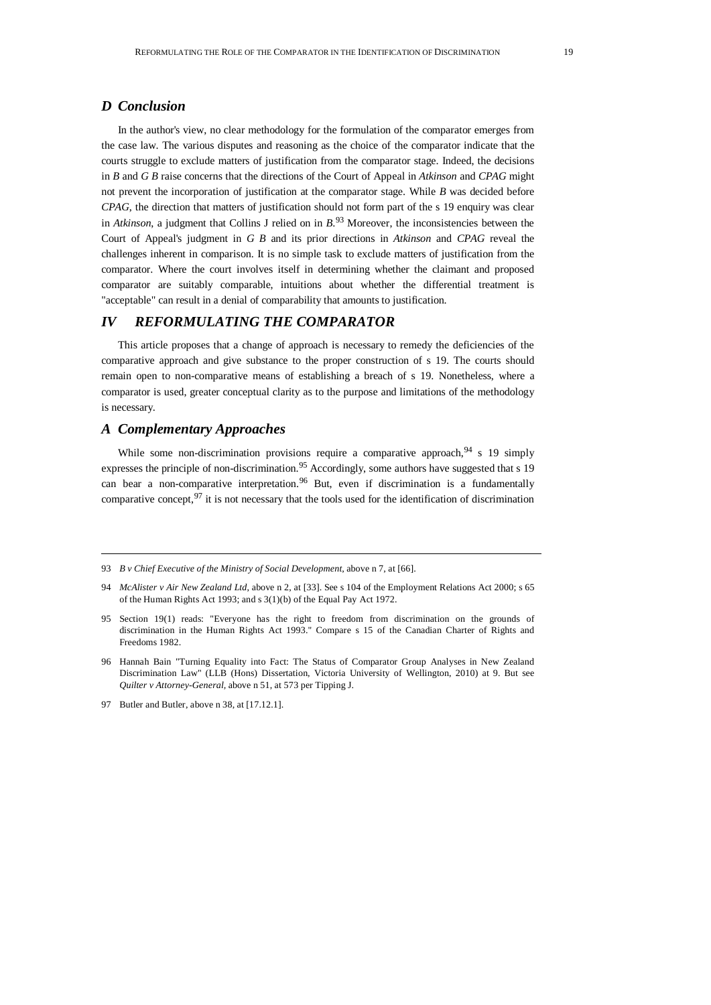## *D Conclusion*

In the author's view, no clear methodology for the formulation of the comparator emerges from the case law. The various disputes and reasoning as the choice of the comparator indicate that the courts struggle to exclude matters of justification from the comparator stage. Indeed, the decisions in *B* and *G B* raise concerns that the directions of the Court of Appeal in *Atkinson* and *CPAG* might not prevent the incorporation of justification at the comparator stage. While *B* was decided before *CPAG*, the direction that matters of justification should not form part of the s 19 enquiry was clear in *Atkinson*, a judgment that Collins J relied on in *B*. [93](#page-18-0) Moreover, the inconsistencies between the Court of Appeal's judgment in *G B* and its prior directions in *Atkinson* and *CPAG* reveal the challenges inherent in comparison. It is no simple task to exclude matters of justification from the comparator. Where the court involves itself in determining whether the claimant and proposed comparator are suitably comparable, intuitions about whether the differential treatment is "acceptable" can result in a denial of comparability that amounts to justification.

# *IV REFORMULATING THE COMPARATOR*

This article proposes that a change of approach is necessary to remedy the deficiencies of the comparative approach and give substance to the proper construction of s 19. The courts should remain open to non-comparative means of establishing a breach of s 19. Nonetheless, where a comparator is used, greater conceptual clarity as to the purpose and limitations of the methodology is necessary.

## *A Complementary Approaches*

While some non-discrimination provisions require a comparative approach,  $94 \times 19$  $94 \times 19$  simply expresses the principle of non-discrimination.<sup>[95](#page-18-2)</sup> Accordingly, some authors have suggested that s 19 can bear a non-comparative interpretation.<sup>[96](#page-18-3)</sup> But, even if discrimination is a fundamentally comparative concept,  $97$  it is not necessary that the tools used for the identification of discrimination

<span id="page-18-0"></span><sup>93</sup> *B v Chief Executive of the Ministry of Social Development*, above n 7, at [66].

<span id="page-18-1"></span><sup>94</sup> *McAlister v Air New Zealand Ltd*, above n 2, at [33]. See s 104 of the Employment Relations Act 2000; s 65 of the Human Rights Act 1993; and s 3(1)(b) of the Equal Pay Act 1972.

<span id="page-18-2"></span><sup>95</sup> Section 19(1) reads: "Everyone has the right to freedom from discrimination on the grounds of discrimination in the Human Rights Act 1993." Compare s 15 of the Canadian Charter of Rights and Freedoms 1982.

<span id="page-18-3"></span><sup>96</sup> Hannah Bain "Turning Equality into Fact: The Status of Comparator Group Analyses in New Zealand Discrimination Law" (LLB (Hons) Dissertation, Victoria University of Wellington, 2010) at 9. But see *Quilter v Attorney-General,* above n 51, at 573 per Tipping J.

<span id="page-18-4"></span><sup>97</sup> Butler and Butler, above n 38, at [17.12.1].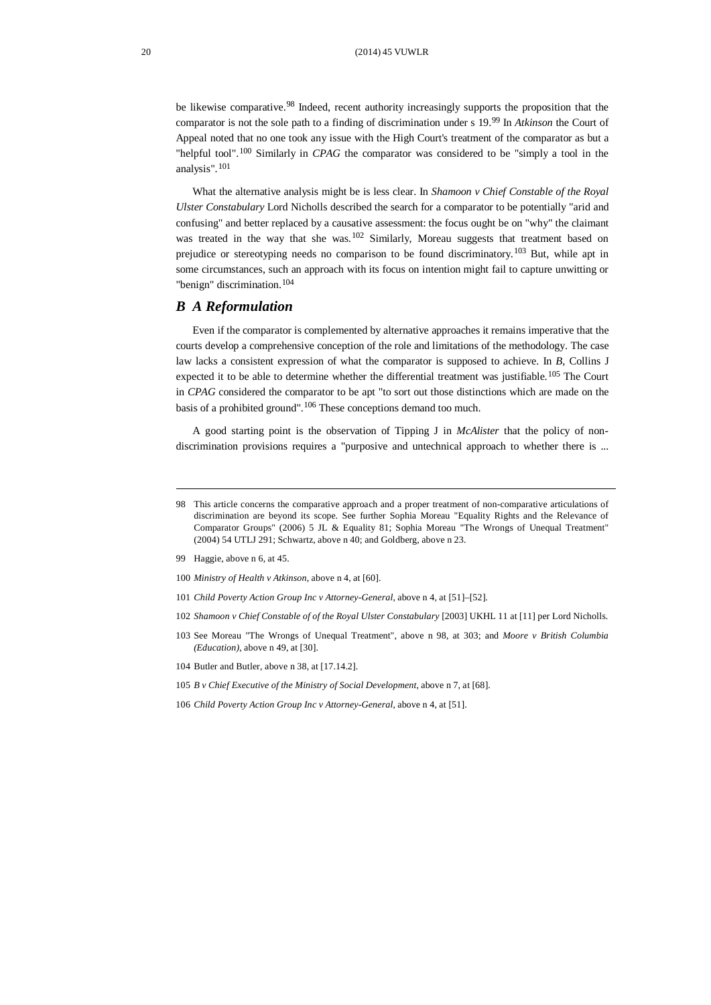be likewise comparative.<sup>[98](#page-19-0)</sup> Indeed, recent authority increasingly supports the proposition that the comparator is not the sole path to a finding of discrimination under s 19.[99](#page-19-1) In *Atkinson* the Court of Appeal noted that no one took any issue with the High Court's treatment of the comparator as but a "helpful tool". [100](#page-19-2) Similarly in *CPAG* the comparator was considered to be "simply a tool in the analysis". [101](#page-19-3)

What the alternative analysis might be is less clear. In *Shamoon v Chief Constable of the Royal Ulster Constabulary* Lord Nicholls described the search for a comparator to be potentially "arid and confusing" and better replaced by a causative assessment: the focus ought be on "why" the claimant was treated in the way that she was.<sup>[102](#page-19-4)</sup> Similarly, Moreau suggests that treatment based on prejudice or stereotyping needs no comparison to be found discriminatory.<sup>[103](#page-19-5)</sup> But, while apt in some circumstances, such an approach with its focus on intention might fail to capture unwitting or "benign" discrimination.<sup>[104](#page-19-6)</sup>

## *B A Reformulation*

Even if the comparator is complemented by alternative approaches it remains imperative that the courts develop a comprehensive conception of the role and limitations of the methodology. The case law lacks a consistent expression of what the comparator is supposed to achieve. In *B*, Collins J expected it to be able to determine whether the differential treatment was justifiable.<sup>[105](#page-19-7)</sup> The Court in *CPAG* considered the comparator to be apt "to sort out those distinctions which are made on the basis of a prohibited ground".<sup>[106](#page-19-8)</sup> These conceptions demand too much.

A good starting point is the observation of Tipping J in *McAlister* that the policy of nondiscrimination provisions requires a "purposive and untechnical approach to whether there is ...

- <span id="page-19-2"></span>100 *Ministry of Health v Atkinson*, above n 4, at [60].
- <span id="page-19-3"></span>101 *Child Poverty Action Group Inc v Attorney-General*, above n 4, at [51]–[52].
- <span id="page-19-4"></span>102 *Shamoon v Chief Constable of of the Royal Ulster Constabulary* [2003] UKHL 11 at [11] per Lord Nicholls.
- <span id="page-19-5"></span>103 See Moreau "The Wrongs of Unequal Treatment", above n 98, at 303; and *Moore v British Columbia (Education)*, above n 49, at [30].
- <span id="page-19-6"></span>104 Butler and Butler, above n 38, at [17.14.2].
- <span id="page-19-7"></span>105 *B v Chief Executive of the Ministry of Social Development*, above n 7, at [68].
- <span id="page-19-8"></span>106 *Child Poverty Action Group Inc v Attorney-General*, above n 4, at [51].

<span id="page-19-0"></span><sup>98</sup> This article concerns the comparative approach and a proper treatment of non-comparative articulations of discrimination are beyond its scope. See further Sophia Moreau "Equality Rights and the Relevance of Comparator Groups" (2006) 5 JL & Equality 81; Sophia Moreau "The Wrongs of Unequal Treatment" (2004) 54 UTLJ 291; Schwartz, above n 40; and Goldberg, above n 23.

<span id="page-19-1"></span><sup>99</sup> Haggie, above n 6, at 45.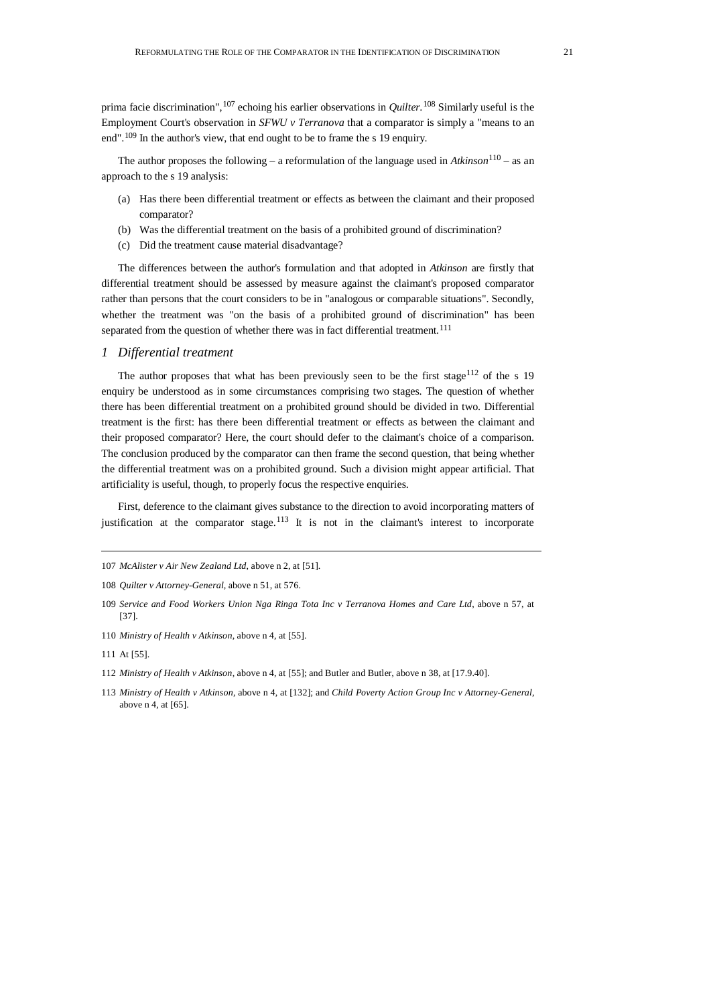prima facie discrimination", [107](#page-20-0) echoing his earlier observations in *Quilter*. [108](#page-20-1) Similarly useful is the Employment Court's observation in *SFWU v Terranova* that a comparator is simply a "means to an end".<sup>[109](#page-20-2)</sup> In the author's view, that end ought to be to frame the s 19 enquiry.

The author proposes the following – a reformulation of the language used in *Atkinson*[110](#page-20-3) – as an approach to the s 19 analysis:

- (a) Has there been differential treatment or effects as between the claimant and their proposed comparator?
- (b) Was the differential treatment on the basis of a prohibited ground of discrimination?
- (c) Did the treatment cause material disadvantage?

The differences between the author's formulation and that adopted in *Atkinson* are firstly that differential treatment should be assessed by measure against the claimant's proposed comparator rather than persons that the court considers to be in "analogous or comparable situations". Secondly, whether the treatment was "on the basis of a prohibited ground of discrimination" has been separated from the question of whether there was in fact differential treatment.<sup>[111](#page-20-4)</sup>

#### *1 Differential treatment*

The author proposes that what has been previously seen to be the first stage<sup>[112](#page-20-5)</sup> of the s 19 enquiry be understood as in some circumstances comprising two stages. The question of whether there has been differential treatment on a prohibited ground should be divided in two. Differential treatment is the first: has there been differential treatment or effects as between the claimant and their proposed comparator? Here, the court should defer to the claimant's choice of a comparison. The conclusion produced by the comparator can then frame the second question, that being whether the differential treatment was on a prohibited ground. Such a division might appear artificial. That artificiality is useful, though, to properly focus the respective enquiries.

First, deference to the claimant gives substance to the direction to avoid incorporating matters of justification at the comparator stage.<sup>[113](#page-20-6)</sup> It is not in the claimant's interest to incorporate

<span id="page-20-6"></span>113 *Ministry of Health v Atkinson*, above n 4, at [132]; and *Child Poverty Action Group Inc v Attorney-General*, above n 4, at [65].

<span id="page-20-0"></span><sup>107</sup> *McAlister v Air New Zealand Ltd*, above n 2, at [51].

<span id="page-20-1"></span><sup>108</sup> *Quilter v Attorney-General*, above n 51, at 576.

<span id="page-20-2"></span><sup>109</sup> *Service and Food Workers Union Nga Ringa Tota Inc v Terranova Homes and Care Ltd*, above n 57, at [37].

<span id="page-20-3"></span><sup>110</sup> *Ministry of Health v Atkinson*, above n 4, at [55].

<span id="page-20-4"></span><sup>111</sup> At [55].

<span id="page-20-5"></span><sup>112</sup> *Ministry of Health v Atkinson*, above n 4, at [55]; and Butler and Butler, above n 38, at [17.9.40].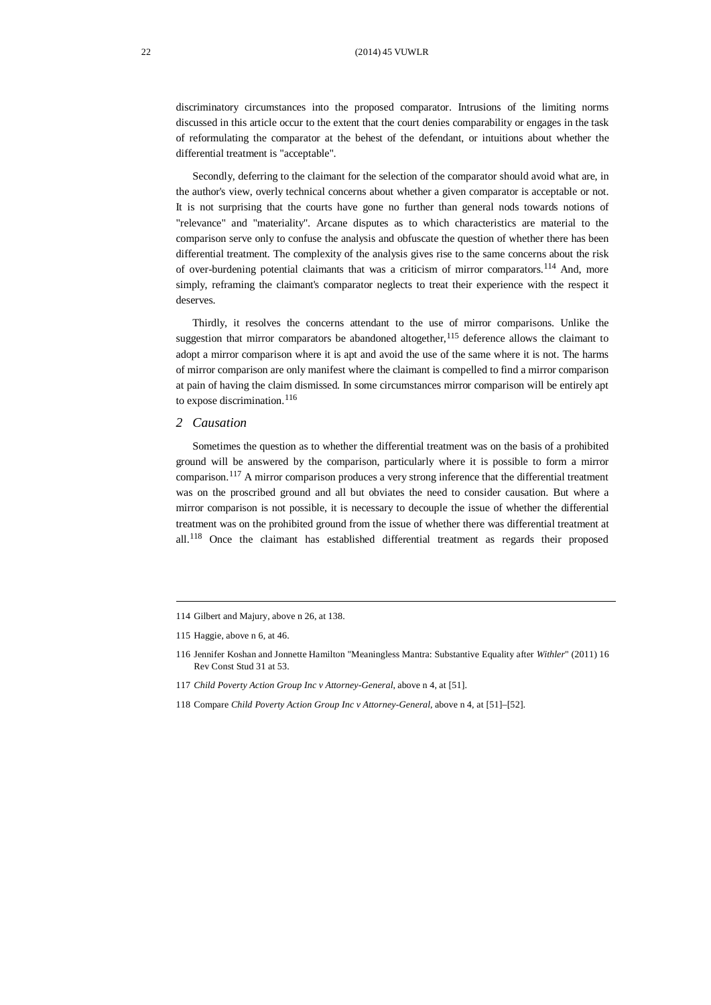discriminatory circumstances into the proposed comparator. Intrusions of the limiting norms discussed in this article occur to the extent that the court denies comparability or engages in the task of reformulating the comparator at the behest of the defendant, or intuitions about whether the differential treatment is "acceptable".

Secondly, deferring to the claimant for the selection of the comparator should avoid what are, in the author's view, overly technical concerns about whether a given comparator is acceptable or not. It is not surprising that the courts have gone no further than general nods towards notions of "relevance" and "materiality". Arcane disputes as to which characteristics are material to the comparison serve only to confuse the analysis and obfuscate the question of whether there has been differential treatment. The complexity of the analysis gives rise to the same concerns about the risk of over-burdening potential claimants that was a criticism of mirror comparators.<sup>[114](#page-21-0)</sup> And, more simply, reframing the claimant's comparator neglects to treat their experience with the respect it deserves.

Thirdly, it resolves the concerns attendant to the use of mirror comparisons. Unlike the suggestion that mirror comparators be abandoned altogether,<sup>[115](#page-21-1)</sup> deference allows the claimant to adopt a mirror comparison where it is apt and avoid the use of the same where it is not. The harms of mirror comparison are only manifest where the claimant is compelled to find a mirror comparison at pain of having the claim dismissed. In some circumstances mirror comparison will be entirely apt to expose discrimination.<sup>[116](#page-21-2)</sup>

#### *2 Causation*

Sometimes the question as to whether the differential treatment was on the basis of a prohibited ground will be answered by the comparison, particularly where it is possible to form a mirror comparison.[117](#page-21-3) A mirror comparison produces a very strong inference that the differential treatment was on the proscribed ground and all but obviates the need to consider causation. But where a mirror comparison is not possible, it is necessary to decouple the issue of whether the differential treatment was on the prohibited ground from the issue of whether there was differential treatment at all.[118](#page-22-0) Once the claimant has established differential treatment as regards their proposed

<sup>114</sup> Gilbert and Majury, above n 26, at 138.

<span id="page-21-0"></span><sup>115</sup> Haggie, above n 6, at 46.

<span id="page-21-1"></span><sup>116</sup> Jennifer Koshan and Jonnette Hamilton "Meaningless Mantra: Substantive Equality after *Withler*" (2011) 16 Rev Const Stud 31 at 53.

<span id="page-21-2"></span><sup>117</sup> *Child Poverty Action Group Inc v Attorney-General*, above n 4, at [51].

<span id="page-21-3"></span><sup>118</sup> Compare *Child Poverty Action Group Inc v Attorney-General*, above n 4, at [51]–[52].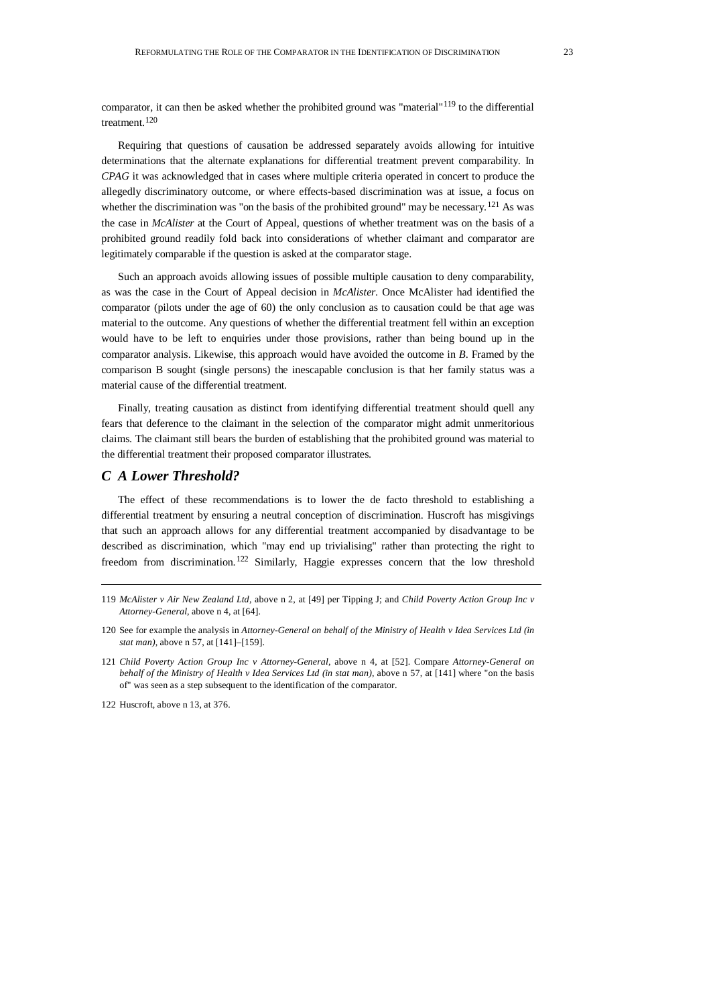comparator, it can then be asked whether the prohibited ground was "material"<sup>[119](#page-22-0)</sup> to the differential treatment.<sup>[120](#page-22-1)</sup>

Requiring that questions of causation be addressed separately avoids allowing for intuitive determinations that the alternate explanations for differential treatment prevent comparability. In *CPAG* it was acknowledged that in cases where multiple criteria operated in concert to produce the allegedly discriminatory outcome, or where effects-based discrimination was at issue, a focus on whether the discrimination was "on the basis of the prohibited ground" may be necessary.<sup>[121](#page-22-2)</sup> As was the case in *McAlister* at the Court of Appeal, questions of whether treatment was on the basis of a prohibited ground readily fold back into considerations of whether claimant and comparator are legitimately comparable if the question is asked at the comparator stage.

Such an approach avoids allowing issues of possible multiple causation to deny comparability, as was the case in the Court of Appeal decision in *McAlister*. Once McAlister had identified the comparator (pilots under the age of 60) the only conclusion as to causation could be that age was material to the outcome. Any questions of whether the differential treatment fell within an exception would have to be left to enquiries under those provisions, rather than being bound up in the comparator analysis. Likewise, this approach would have avoided the outcome in *B*. Framed by the comparison B sought (single persons) the inescapable conclusion is that her family status was a material cause of the differential treatment.

Finally, treating causation as distinct from identifying differential treatment should quell any fears that deference to the claimant in the selection of the comparator might admit unmeritorious claims. The claimant still bears the burden of establishing that the prohibited ground was material to the differential treatment their proposed comparator illustrates.

## *C A Lower Threshold?*

The effect of these recommendations is to lower the de facto threshold to establishing a differential treatment by ensuring a neutral conception of discrimination. Huscroft has misgivings that such an approach allows for any differential treatment accompanied by disadvantage to be described as discrimination, which "may end up trivialising" rather than protecting the right to freedom from discrimination.[122](#page-22-3) Similarly, Haggie expresses concern that the low threshold

<span id="page-22-3"></span>122 Huscroft, above n 13, at 376.

<span id="page-22-0"></span><sup>119</sup> *McAlister v Air New Zealand Ltd*, above n 2, at [49] per Tipping J; and *Child Poverty Action Group Inc v Attorney-General*, above n 4, at [64].

<span id="page-22-1"></span><sup>120</sup> See for example the analysis in *Attorney-General on behalf of the Ministry of Health v Idea Services Ltd (in stat man)*, above n 57, at [141]–[159].

<span id="page-22-2"></span><sup>121</sup> *Child Poverty Action Group Inc v Attorney-General*, above n 4, at [52]. Compare *Attorney-General on behalf of the Ministry of Health v Idea Services Ltd (in stat man)*, above n 57, at [141] where "on the basis of" was seen as a step subsequent to the identification of the comparator.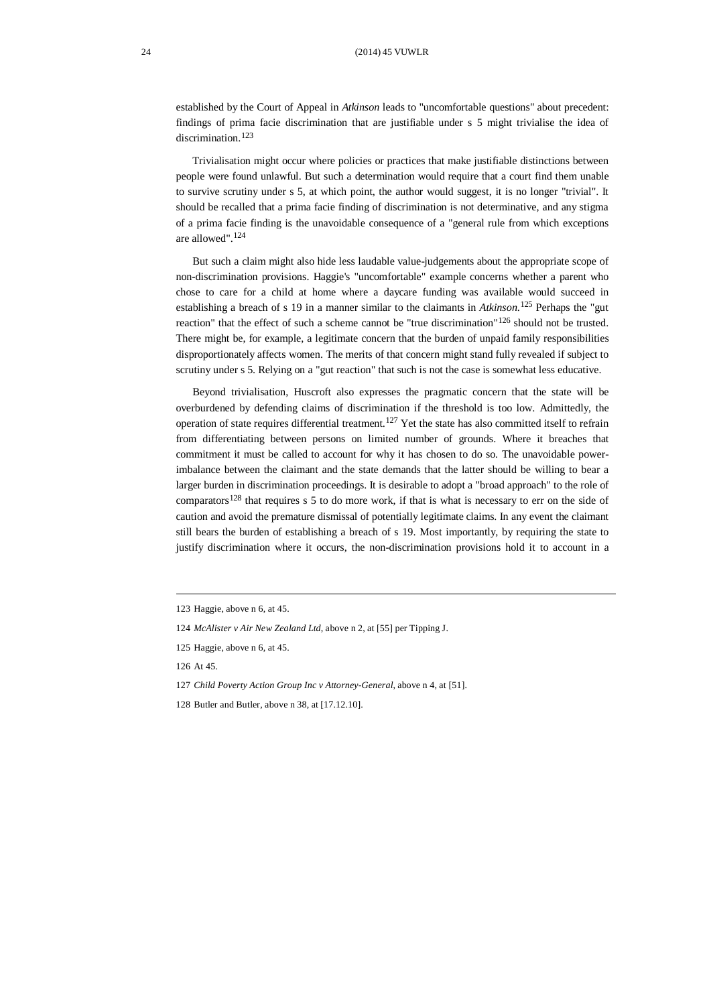#### 24 (2014) 45 VUWLR

established by the Court of Appeal in *Atkinson* leads to "uncomfortable questions" about precedent: findings of prima facie discrimination that are justifiable under s 5 might trivialise the idea of discrimination.<sup>[123](#page-23-0)</sup>

Trivialisation might occur where policies or practices that make justifiable distinctions between people were found unlawful. But such a determination would require that a court find them unable to survive scrutiny under s 5, at which point, the author would suggest, it is no longer "trivial". It should be recalled that a prima facie finding of discrimination is not determinative, and any stigma of a prima facie finding is the unavoidable consequence of a "general rule from which exceptions are allowed". [124](#page-23-1)

But such a claim might also hide less laudable value-judgements about the appropriate scope of non-discrimination provisions. Haggie's "uncomfortable" example concerns whether a parent who chose to care for a child at home where a daycare funding was available would succeed in establishing a breach of s 19 in a manner similar to the claimants in *Atkinson*. [125](#page-23-2) Perhaps the "gut reaction" that the effect of such a scheme cannot be "true discrimination"<sup>[126](#page-23-3)</sup> should not be trusted. There might be, for example, a legitimate concern that the burden of unpaid family responsibilities disproportionately affects women. The merits of that concern might stand fully revealed if subject to scrutiny under s 5. Relying on a "gut reaction" that such is not the case is somewhat less educative.

Beyond trivialisation, Huscroft also expresses the pragmatic concern that the state will be overburdened by defending claims of discrimination if the threshold is too low. Admittedly, the operation of state requires differential treatment.<sup>[127](#page-23-4)</sup> Yet the state has also committed itself to refrain from differentiating between persons on limited number of grounds. Where it breaches that commitment it must be called to account for why it has chosen to do so. The unavoidable powerimbalance between the claimant and the state demands that the latter should be willing to bear a larger burden in discrimination proceedings. It is desirable to adopt a "broad approach" to the role of comparators<sup>[128](#page-23-5)</sup> that requires s 5 to do more work, if that is what is necessary to err on the side of caution and avoid the premature dismissal of potentially legitimate claims. In any event the claimant still bears the burden of establishing a breach of s 19. Most importantly, by requiring the state to justify discrimination where it occurs, the non-discrimination provisions hold it to account in a

<span id="page-23-5"></span>128 Butler and Butler, above n 38, at [17.12.10].

<span id="page-23-0"></span><sup>123</sup> Haggie, above n 6, at 45.

<span id="page-23-1"></span><sup>124</sup> *McAlister v Air New Zealand Ltd*, above n 2, at [55] per Tipping J.

<span id="page-23-2"></span><sup>125</sup> Haggie, above n 6, at 45.

<span id="page-23-3"></span><sup>126</sup> At 45.

<span id="page-23-4"></span><sup>127</sup> *Child Poverty Action Group Inc v Attorney-General*, above n 4, at [51].